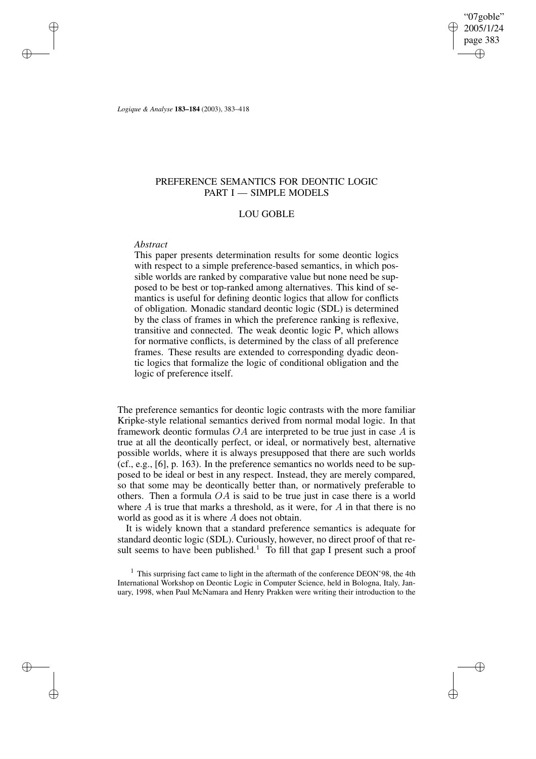"07goble" 2005/1/24 page 383 ✐ ✐

✐

✐

*Logique & Analyse* **183–184** (2003), 383–418

# PREFERENCE SEMANTICS FOR DEONTIC LOGIC PART I - SIMPLE MODELS

## LOU GOBLE

## *Abstract*

✐

✐

✐

✐

This paper presents determination results for some deontic logics with respect to a simple preference-based semantics, in which possible worlds are ranked by comparative value but none need be supposed to be best or top-ranked among alternatives. This kind of semantics is useful for defining deontic logics that allow for conflicts of obligation. Monadic standard deontic logic (SDL) is determined by the class of frames in which the preference ranking is reflexive, transitive and connected. The weak deontic logic P, which allows for normative conflicts, is determined by the class of all preference frames. These results are extended to corresponding dyadic deontic logics that formalize the logic of conditional obligation and the logic of preference itself.

The preference semantics for deontic logic contrasts with the more familiar Kripke-style relational semantics derived from normal modal logic. In that framework deontic formulas  $OA$  are interpreted to be true just in case  $A$  is true at all the deontically perfect, or ideal, or normatively best, alternative possible worlds, where it is always presupposed that there are such worlds (cf., e.g., [6], p. 163). In the preference semantics no worlds need to be supposed to be ideal or best in any respect. Instead, they are merely compared, so that some may be deontically better than, or normatively preferable to others. Then a formula  $OA$  is said to be true just in case there is a world where  $A$  is true that marks a threshold, as it were, for  $A$  in that there is no world as good as it is where A does not obtain.

It is widely known that a standard preference semantics is adequate for standard deontic logic (SDL). Curiously, however, no direct proof of that result seems to have been published.<sup>1</sup> To fill that gap I present such a proof

<sup>1</sup> This surprising fact came to light in the aftermath of the conference DEON'98, the 4th International Workshop on Deontic Logic in Computer Science, held in Bologna, Italy, January, 1998, when Paul McNamara and Henry Prakken were writing their introduction to the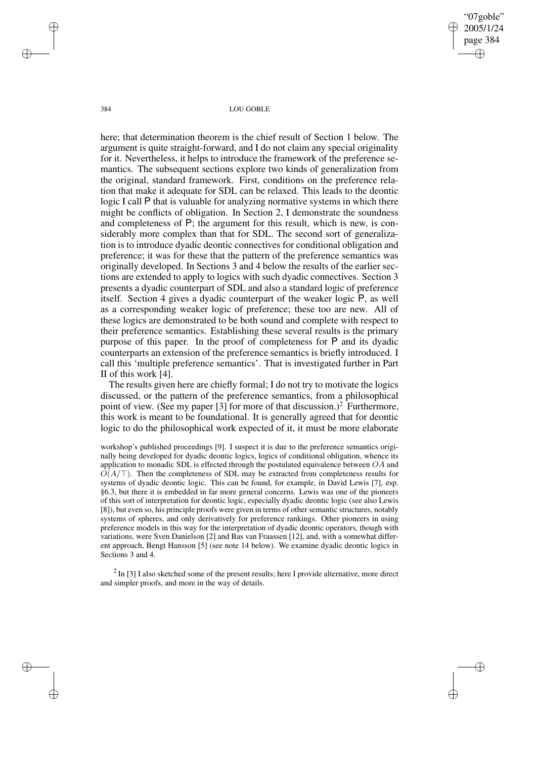"07goble" 2005/1/24 page 384 ✐ ✐

✐

✐

384 LOU GOBLE

here; that determination theorem is the chief result of Section 1 below. The argument is quite straight-forward, and I do not claim any special originality for it. Nevertheless, it helps to introduce the framework of the preference semantics. The subsequent sections explore two kinds of generalization from the original, standard framework. First, conditions on the preference relation that make it adequate for SDL can be relaxed. This leads to the deontic logic I call P that is valuable for analyzing normative systems in which there might be conflicts of obligation. In Section 2, I demonstrate the soundness and completeness of P; the argument for this result, which is new, is considerably more complex than that for SDL. The second sort of generalization is to introduce dyadic deontic connectives for conditional obligation and preference; it was for these that the pattern of the preference semantics was originally developed. In Sections 3 and 4 below the results of the earlier sections are extended to apply to logics with such dyadic connectives. Section 3 presents a dyadic counterpart of SDL and also a standard logic of preference itself. Section 4 gives a dyadic counterpart of the weaker logic P, as well as a corresponding weaker logic of preference; these too are new. All of these logics are demonstrated to be both sound and complete with respect to their preference semantics. Establishing these several results is the primary purpose of this paper. In the proof of completeness for P and its dyadic counterparts an extension of the preference semantics is briefly introduced. I call this 'multiple preference semantics'. That is investigated further in Part II of this work [4].

The results given here are chiefly formal; I do not try to motivate the logics discussed, or the pattern of the preference semantics, from a philosophical point of view. (See my paper [3] for more of that discussion.)<sup>2</sup> Furthermore, this work is meant to be foundational. It is generally agreed that for deontic logic to do the philosophical work expected of it, it must be more elaborate

workshop's published proceedings [9]. I suspect it is due to the preference semantics originally being developed for dyadic deontic logics, logics of conditional obligation, whence its application to monadic SDL is effected through the postulated equivalence between  $OA$  and  $O(A/\top)$ . Then the completeness of SDL may be extracted from completeness results for systems of dyadic deontic logic. This can be found, for example, in David Lewis [7], esp. §6.3, but there it is embedded in far more general concerns. Lewis was one of the pioneers of this sort of interpretation for deontic logic, especially dyadic deontic logic (see also Lewis [8]), but even so, his principle proofs were given in terms of other semantic structures, notably systems of spheres, and only derivatively for preference rankings. Other pioneers in using preference models in this way for the interpretation of dyadic deontic operators, though with variations, were Sven Danielson [2] and Bas van Fraassen [12], and, with a somewhat different approach, Bengt Hansson [5] (see note 14 below). We examine dyadic deontic logics in Sections 3 and 4.

 $2 \text{ In } [3]$  I also sketched some of the present results; here I provide alternative, more direct and simpler proofs, and more in the way of details.

✐

✐

✐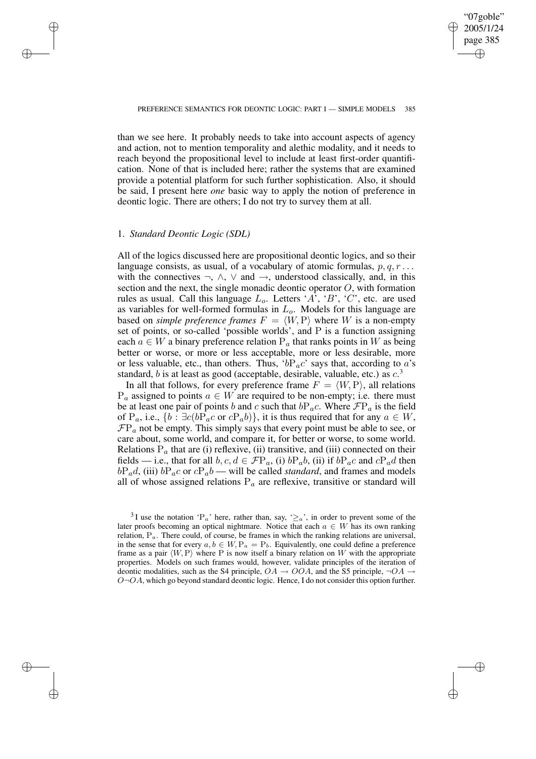✐

## PREFERENCE SEMANTICS FOR DEONTIC LOGIC: PART I — SIMPLE MODELS 385

than we see here. It probably needs to take into account aspects of agency and action, not to mention temporality and alethic modality, and it needs to reach beyond the propositional level to include at least first-order quantification. None of that is included here; rather the systems that are examined provide a potential platform for such further sophistication. Also, it should be said, I present here *one* basic way to apply the notion of preference in deontic logic. There are others; I do not try to survey them at all.

## 1. *Standard Deontic Logic (SDL)*

✐

✐

✐

✐

All of the logics discussed here are propositional deontic logics, and so their language consists, as usual, of a vocabulary of atomic formulas,  $p, q, r \dots$ with the connectives  $\neg$ ,  $\wedge$ ,  $\vee$  and  $\rightarrow$ , understood classically, and, in this section and the next, the single monadic deontic operator  $O$ , with formation rules as usual. Call this language  $L_o$ . Letters 'A', 'B', 'C', etc. are used as variables for well-formed formulas in  $L<sub>o</sub>$ . Models for this language are based on *simple* preference frames  $F = \langle W, P \rangle$  where W is a non-empty set of points, or so-called 'possible worlds', and P is a function assigning each  $a \in W$  a binary preference relation  $P_a$  that ranks points in W as being better or worse, or more or less acceptable, more or less desirable, more or less valuable, etc., than others. Thus, ' $bP_a c$ ' says that, according to a's standard, b is at least as good (acceptable, desirable, valuable, etc.) as  $c^3$ .

In all that follows, for every preference frame  $F = \langle W, P \rangle$ , all relations  $P_a$  assigned to points  $a \in W$  are required to be non-empty; i.e. there must be at least one pair of points b and c such that  $bP_a c$ . Where  $\mathcal{F}P_a$  is the field of P<sub>a</sub>, i.e.,  $\{b : \exists c (bP_a c \text{ or } cP_a b)\},$  it is thus required that for any  $a \in W$ ,  $\mathcal{F}P_a$  not be empty. This simply says that every point must be able to see, or care about, some world, and compare it, for better or worse, to some world. Relations  $P_a$  that are (i) reflexive, (ii) transitive, and (iii) connected on their fields — i.e., that for all  $b, c, d \in \mathcal{F}P_a$ , (i)  $bP_a b$ , (ii) if  $bP_a c$  and  $cP_a d$  then  $bP_a$ d, (iii)  $bP_a$ c or  $cP_a$ b — will be called *standard*, and frames and models all of whose assigned relations  $P_a$  are reflexive, transitive or standard will

<sup>&</sup>lt;sup>3</sup>I use the notation 'P<sub>a</sub>' here, rather than, say, ' $\geq$ <sub>a</sub>', in order to prevent some of the later proofs becoming an optical nightmare. Notice that each  $a \in W$  has its own ranking relation,  $P_a$ . There could, of course, be frames in which the ranking relations are universal, in the sense that for every  $a, b \in W$ ,  $P_a = P_b$ . Equivalently, one could define a preference frame as a pair  $\langle W, P \rangle$  where P is now itself a binary relation on W with the appropriate properties. Models on such frames would, however, validate principles of the iteration of deontic modalities, such as the S4 principle,  $OA \rightarrow OOA$ , and the S5 principle,  $\neg OA \rightarrow$  $O\neg OA$ , which go beyond standard deontic logic. Hence, I do not consider this option further.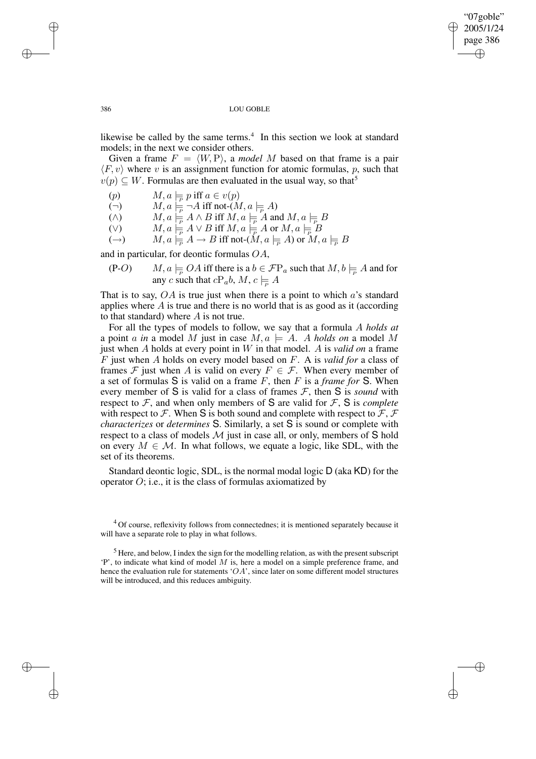✐

### 386 LOU GOBLE

likewise be called by the same terms.<sup>4</sup> In this section we look at standard models; in the next we consider others.

Given a frame  $F = \langle W, P \rangle$ , a *model M* based on that frame is a pair  $\langle F, v \rangle$  where v is an assignment function for atomic formulas, p, such that  $v(p) \subseteq W$ . Formulas are then evaluated in the usual way, so that<sup>5</sup>

(p)  $M, a \models_P p \text{ iff } a \in v(p)$ 

(¬)  $M, a \models_{\overline{P}} \neg A$  iff not- $(M, a \models_{\overline{P}} A)$ 

( $\wedge$ )  $M, a \models A \wedge B$  iff  $M, a \models A$  and  $M, a \models B$ 

 $(V)$   $M, a \models_{\overline{P}} A \vee B \text{ iff } M, a \models_{\overline{P}} A \text{ or } M, a \models_{\overline{P}} B$ 

 $(A \rightarrow)$   $M, a \models_{\overline{P}} A \rightarrow B$  iff not- $(M, a \models_{\overline{P}} A)$  or  $M, a \models_{\overline{P}} B$ 

and in particular, for deontic formulas OA,

(P-O)  $M, a \models QA$  iff there is a  $b \in \mathcal{F}P_a$  such that  $M, b \models P A$  and for any c such that  $cP_a b$ ,  $M$ ,  $c \models A$ 

That is to say,  $OA$  is true just when there is a point to which  $a$ 's standard applies where  $A$  is true and there is no world that is as good as it (according to that standard) where  $A$  is not true.

For all the types of models to follow, we say that a formula A *holds at* a point a in a model M just in case  $M, a \models A$ . A holds on a model M just when A holds at every point in W in that model. A is *valid on* a frame F just when A holds on every model based on F. A is *valid for* a class of frames  $\mathcal F$  just when A is valid on every  $F \in \mathcal F$ . When every member of a set of formulas S is valid on a frame F, then F is a *frame for* S. When every member of S is valid for a class of frames  $\mathcal{F}$ , then S is *sound* with respect to  $F$ , and when only members of S are valid for  $F$ , S is *complete* with respect to F. When S is both sound and complete with respect to  $\mathcal{F}, \mathcal{F}$ *characterizes* or *determines* S. Similarly, a set S is sound or complete with respect to a class of models  $M$  just in case all, or only, members of S hold on every  $M \in \mathcal{M}$ . In what follows, we equate a logic, like SDL, with the set of its theorems.

Standard deontic logic, SDL, is the normal modal logic D (aka KD) for the operator  $O$ ; i.e., it is the class of formulas axiomatized by

✐

✐

✐

<sup>&</sup>lt;sup>4</sup> Of course, reflexivity follows from connectednes; it is mentioned separately because it will have a separate role to play in what follows.

 $<sup>5</sup>$  Here, and below, I index the sign for the modelling relation, as with the present subscript</sup> 'P', to indicate what kind of model  $M$  is, here a model on a simple preference frame, and hence the evaluation rule for statements 'OA', since later on some different model structures will be introduced, and this reduces ambiguity.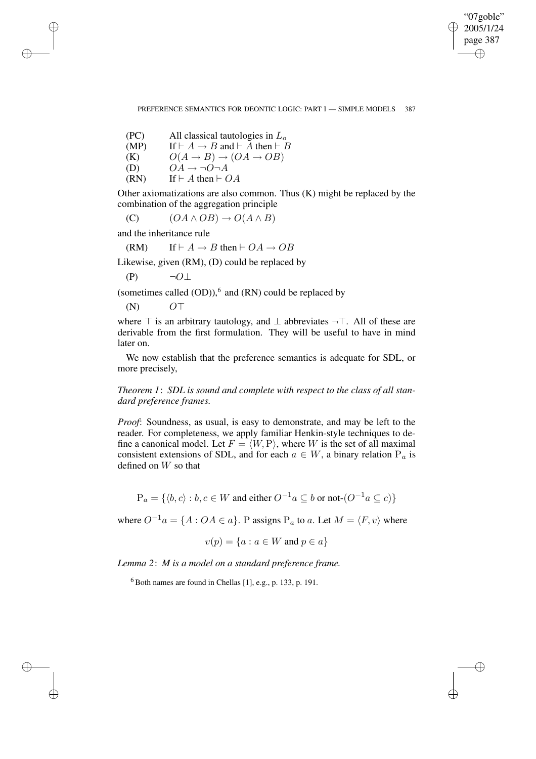✐

## PREFERENCE SEMANTICS FOR DEONTIC LOGIC: PART I — SIMPLE MODELS 387

(PC) All classical tautologies in  $L_0$ (MP) If  $\vdash A \rightarrow B$  and  $\vdash \overline{A}$  then  $\vdash \overline{B}$ (K)  $O(A \rightarrow B) \rightarrow (OA \rightarrow OB)$ <br>(D)  $OA \rightarrow \neg O \neg A$  $\overrightarrow{OA} \rightarrow \neg \overrightarrow{O} \neg A$ (RN) If  $\vdash A$  then  $\vdash OA$ 

Other axiomatizations are also common. Thus (K) might be replaced by the combination of the aggregation principle

(C)  $(OA \wedge OB) \rightarrow O(A \wedge B)$ 

and the inheritance rule

✐

✐

✐

✐

(RM) If  $\vdash A \rightarrow B$  then  $\vdash OA \rightarrow OB$ 

Likewise, given (RM), (D) could be replaced by

$$
(P) \qquad \neg O \bot
$$

(sometimes called  $(OD)$ ),<sup>6</sup> and  $(RN)$  could be replaced by

 $(N)$  O<sup>T</sup>

where  $\top$  is an arbitrary tautology, and  $\bot$  abbreviates  $\neg$ . All of these are derivable from the first formulation. They will be useful to have in mind later on.

We now establish that the preference semantics is adequate for SDL, or more precisely,

*Theorem 1*: *SDL is sound and complete with respect to the class of all standard preference frames.*

*Proof*: Soundness, as usual, is easy to demonstrate, and may be left to the reader. For completeness, we apply familiar Henkin-style techniques to define a canonical model. Let  $F = \langle W, P \rangle$ , where W is the set of all maximal consistent extensions of SDL, and for each  $a \in W$ , a binary relation  $P_a$  is defined on W so that

$$
P_a = \{ \langle b, c \rangle : b, c \in W \text{ and either } O^{-1}a \subseteq b \text{ or not } (O^{-1}a \subseteq c) \}
$$

where  $O^{-1}a = \{A : OA \in a\}$ . P assigns P<sub>a</sub> to a. Let  $M = \langle F, v \rangle$  where

$$
v(p) = \{a : a \in W \text{ and } p \in a\}
$$

*Lemma 2*: *M is a model on a standard preference frame.*

<sup>6</sup> Both names are found in Chellas [1], e.g., p. 133, p. 191.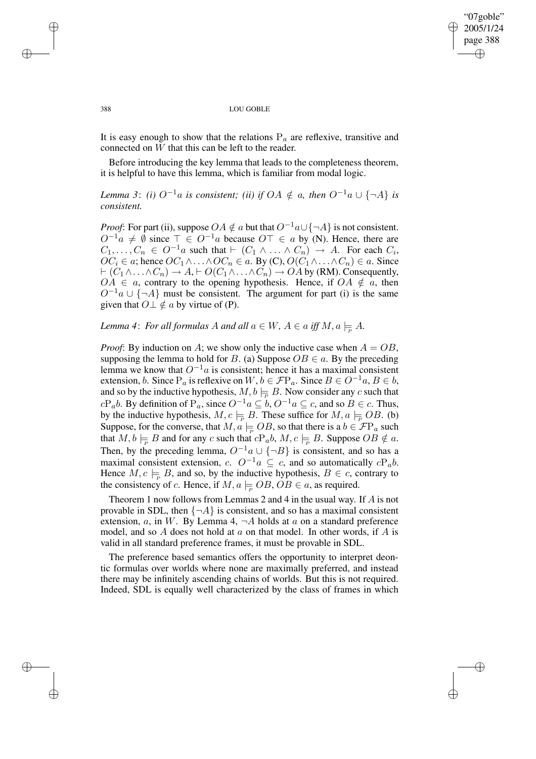✐

#### 388 LOU GOBLE

It is easy enough to show that the relations  $P_a$  are reflexive, transitive and connected on  $\overline{W}$  that this can be left to the reader.

Before introducing the key lemma that leads to the completeness theorem, it is helpful to have this lemma, which is familiar from modal logic.

*Lemma* 3: *(i)*  $O^{-1}a$  *is consistent; (ii) if*  $OA \notin a$ *, then*  $O^{-1}a \cup \{\neg A\}$  *is consistent.*

*Proof*: For part (ii), suppose  $OA \notin a$  but that  $O^{-1}a \cup \{\neg A\}$  is not consistent.  $O^{-1}a \neq \emptyset$  since  $\top \in O^{-1}a$  because  $O\top \in a$  by (N). Hence, there are  $C_1, \ldots, C_n \in O^{-1}a$  such that  $\vdash (C_1 \land \ldots \land C_n) \rightarrow A$ . For each  $C_i$ ,  $OC_i \in \alpha$ ; hence  $OC_1 \wedge \ldots \wedge OC_n \in \alpha$ . By  $(C), O(C_1 \wedge \ldots \wedge C_n) \in \alpha$ . Since  $\vdash (C_1 \land \ldots \land C_n) \to A, \vdash O(C_1 \land \ldots \land C_n) \to OA$  by (RM). Consequently,  $OA \in a$ , contrary to the opening hypothesis. Hence, if  $OA \notin a$ , then  $O^{-1}a \cup \{\neg A\}$  must be consistent. The argument for part (i) is the same given that  $O \perp \notin a$  by virtue of (P).

*Lemma* 4: *For all formulas* A *and all*  $a \in W$ ,  $A \in a$  *iff*  $M$ ,  $a \models A$ .

*Proof*: By induction on A; we show only the inductive case when  $A = OB$ , supposing the lemma to hold for B. (a) Suppose  $OB \in a$ . By the preceding lemma we know that  $O^{-1}a$  is consistent; hence it has a maximal consistent extension, b. Since  $P_a$  is reflexive on  $W, b \in \mathcal{F}P_a$ . Since  $B \in O^{-1}a, B \in b$ , and so by the inductive hypothesis,  $M, b \models B$ . Now consider any c such that  $cP_a b$ . By definition of  $P_a$ , since  $O^{-1}a \subseteq b$ ,  $O^{-1}a \subseteq c$ , and so  $B \in c$ . Thus, by the inductive hypothesis,  $M, c \models_{\overline{P}} B$ . These suffice for  $M, a \models_{\overline{P}} OB$ . (b) Suppose, for the converse, that  $M, a \models_{\mathcal{P}} OB$ , so that there is a  $b \in \mathcal{F}P_a$  such that  $M, b \models B$  and for any c such that  $cP_a b, M, c \models B$ . Suppose  $OB \notin a$ . Then, by the preceding lemma,  $O^{-1}a \cup \{\neg B\}$  is consistent, and so has a maximal consistent extension, c.  $O^{-1}a \subseteq c$ , and so automatically  $cP_a b$ . Hence  $M, c \models B$ , and so, by the inductive hypothesis,  $B \in c$ , contrary to the consistency of c. Hence, if  $M, a \models_{\rho} OB, OB \in a$ , as required.

Theorem 1 now follows from Lemmas 2 and 4 in the usual way. If A is not provable in SDL, then  $\{\neg A\}$  is consistent, and so has a maximal consistent extension,  $a$ , in W. By Lemma 4,  $\neg A$  holds at  $a$  on a standard preference model, and so  $A$  does not hold at  $a$  on that model. In other words, if  $A$  is valid in all standard preference frames, it must be provable in SDL.

The preference based semantics offers the opportunity to interpret deontic formulas over worlds where none are maximally preferred, and instead there may be infinitely ascending chains of worlds. But this is not required. Indeed, SDL is equally well characterized by the class of frames in which

✐

✐

✐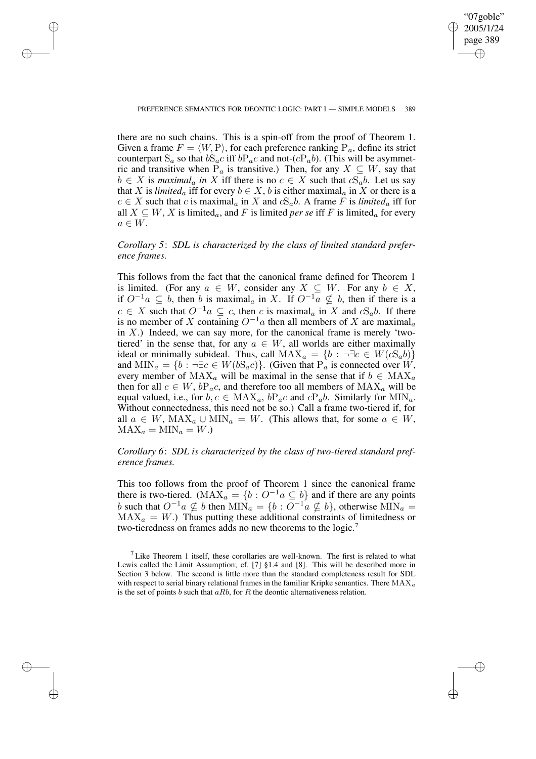✐

## PREFERENCE SEMANTICS FOR DEONTIC LOGIC: PART I — SIMPLE MODELS 389

✐

✐

✐

✐

there are no such chains. This is a spin-off from the proof of Theorem 1. Given a frame  $F = \langle W, P \rangle$ , for each preference ranking P<sub>a</sub>, define its strict counterpart  $S_a$  so that  $bS_a c$  iff  $bP_a c$  and not- $(cP_a b)$ . (This will be asymmetric and transitive when  $P_a$  is transitive.) Then, for any  $X \subseteq W$ , say that  $b \in X$  is *maximal<sub>a</sub> in* X iff there is no  $c \in X$  such that  $cS_a b$ . Let us say that X is *limited<sub>a</sub>* iff for every  $b \in X$ , b is either maximal<sub>a</sub> in X or there is a  $c \in X$  such that c is maximal<sub>a</sub> in X and  $cS_a b$ . A frame F is *limited*<sub>a</sub> iff for all  $X \subseteq W$ , X is limited<sub>a</sub>, and F is limited *per se* iff F is limited<sub>a</sub> for every  $a \in W$ .

*Corollary 5*: *SDL is characterized by the class of limited standard preference frames.*

This follows from the fact that the canonical frame defined for Theorem 1 is limited. (For any  $a \in W$ , consider any  $X \subseteq W$ . For any  $b \in X$ , if  $O^{-1}a ⊆ b$ , then b is maximal<sub>a</sub> in X. If  $O^{-1}a ⊈ b$ , then if there is a  $c \in X$  such that  $O^{-1}a \subseteq c$ , then c is maximal<sub>a</sub> in X and  $cS_a b$ . If there is no member of X containing  $O^{-1}a$  then all members of X are maximal<sub>a</sub> in  $X$ .) Indeed, we can say more, for the canonical frame is merely 'twotiered' in the sense that, for any  $a \in W$ , all worlds are either maximally ideal or minimally subideal. Thus, call  $MAX_a = \{b : \neg \exists c \in W(cS_a b)\}\$ and  $\text{MIN}_a = \{b : \neg \exists c \in W(bS_a c)\}.$  (Given that  $P_a$  is connected over W, every member of  $MAX_a$  will be maximal in the sense that if  $b \in MAX_a$ then for all  $c \in W$ ,  $bP_a c$ , and therefore too all members of  $MAX_a$  will be equal valued, i.e., for  $b, c \in \text{MAX}_a$ ,  $bP_a c$  and  $cP_a b$ . Similarly for  $\text{MIN}_a$ . Without connectedness, this need not be so.) Call a frame two-tiered if, for all  $a \in W$ ,  $MAX_a \cup MIN_a = W$ . (This allows that, for some  $a \in W$ ,  $MAX_a = MIN_a = W.$ 

# *Corollary 6*: *SDL is characterized by the class of two-tiered standard preference frames.*

This too follows from the proof of Theorem 1 since the canonical frame there is two-tiered. ( $\text{MAX}_a = \{b : O^{-1}a \subseteq b\}$  and if there are any points b such that  $O^{-1}a \nsubseteq b$  then  $\text{MIN}_a = \{b : O^{-1}a \nsubseteq b\}$ , otherwise  $\text{MIN}_a =$  $MAX_a = W.$ ) Thus putting these additional constraints of limitedness or two-tieredness on frames adds no new theorems to the logic.<sup>7</sup>

<sup>&</sup>lt;sup>7</sup> Like Theorem 1 itself, these corollaries are well-known. The first is related to what Lewis called the Limit Assumption; cf. [7] §1.4 and [8]. This will be described more in Section 3 below. The second is little more than the standard completeness result for SDL with respect to serial binary relational frames in the familiar Kripke semantics. There  $MAX_a$ is the set of points b such that  $aRb$ , for R the deontic alternativeness relation.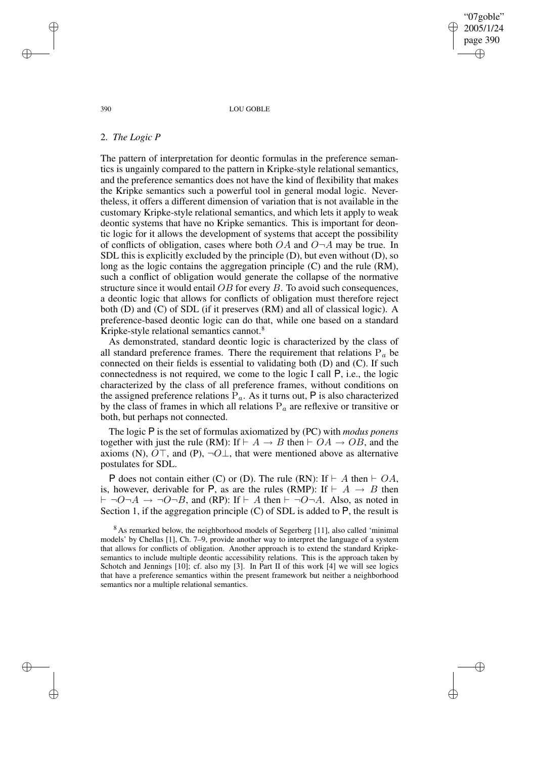"07goble" 2005/1/24 page 390 ✐ ✐

✐

✐

#### 390 LOU GOBLE

## 2. *The Logic P*

The pattern of interpretation for deontic formulas in the preference semantics is ungainly compared to the pattern in Kripke-style relational semantics, and the preference semantics does not have the kind of flexibility that makes the Kripke semantics such a powerful tool in general modal logic. Nevertheless, it offers a different dimension of variation that is not available in the customary Kripke-style relational semantics, and which lets it apply to weak deontic systems that have no Kripke semantics. This is important for deontic logic for it allows the development of systems that accept the possibility of conflicts of obligation, cases where both  $OA$  and  $O\neg A$  may be true. In SDL this is explicitly excluded by the principle (D), but even without (D), so long as the logic contains the aggregation principle (C) and the rule (RM), such a conflict of obligation would generate the collapse of the normative structure since it would entail  $OB$  for every  $B$ . To avoid such consequences, a deontic logic that allows for conflicts of obligation must therefore reject both (D) and (C) of SDL (if it preserves (RM) and all of classical logic). A preference-based deontic logic can do that, while one based on a standard Kripke-style relational semantics cannot.<sup>8</sup>

As demonstrated, standard deontic logic is characterized by the class of all standard preference frames. There the requirement that relations  $P_a$  be connected on their fields is essential to validating both (D) and (C). If such connectedness is not required, we come to the logic I call P, i.e., the logic characterized by the class of all preference frames, without conditions on the assigned preference relations  $P_a$ . As it turns out, P is also characterized by the class of frames in which all relations  $P_a$  are reflexive or transitive or both, but perhaps not connected.

The logic P is the set of formulas axiomatized by (PC) with *modus ponens* together with just the rule (RM): If  $\vdash A \rightarrow B$  then  $\vdash OA \rightarrow OB$ , and the axioms (N),  $O\top$ , and (P),  $\neg O\bot$ , that were mentioned above as alternative postulates for SDL.

P does not contain either (C) or (D). The rule (RN): If  $\vdash$  A then  $\vdash$  OA, is, however, derivable for P, as are the rules (RMP): If  $\vdash A \rightarrow B$  then  $\vdash \neg O\neg A \rightarrow \neg O\neg B$ , and (RP): If  $\vdash A$  then  $\vdash \neg O\neg A$ . Also, as noted in Section 1, if the aggregation principle  $(C)$  of SDL is added to  $P$ , the result is

<sup>8</sup> As remarked below, the neighborhood models of Segerberg [11], also called 'minimal models' by Chellas [1], Ch. 7–9, provide another way to interpret the language of a system that allows for conflicts of obligation. Another approach is to extend the standard Kripkesemantics to include multiple deontic accessibility relations. This is the approach taken by Schotch and Jennings [10]; cf. also my [3]. In Part II of this work [4] we will see logics that have a preference semantics within the present framework but neither a neighborhood semantics nor a multiple relational semantics.

✐

✐

✐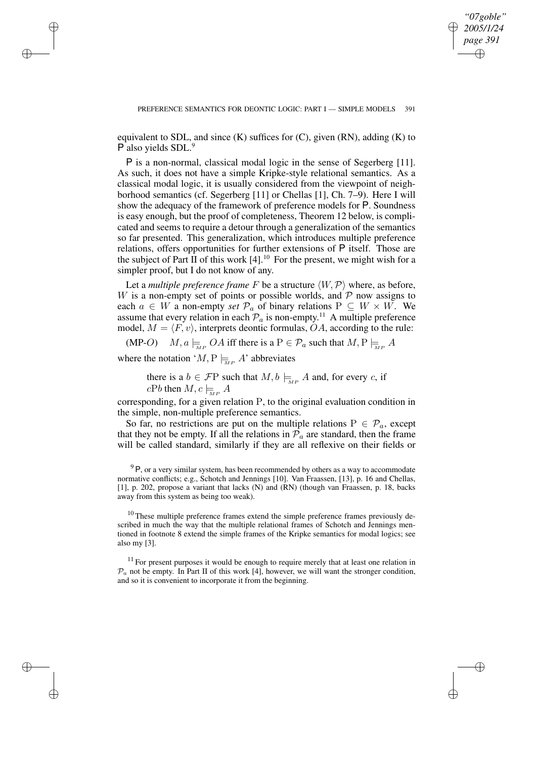✐

equivalent to SDL, and since  $(K)$  suffices for  $(C)$ , given  $(RN)$ , adding  $(K)$  to P also vields SDL.<sup>9</sup>

P is a non-normal, classical modal logic in the sense of Segerberg [11]. As such, it does not have a simple Kripke-style relational semantics. As a classical modal logic, it is usually considered from the viewpoint of neighborhood semantics (cf. Segerberg [11] or Chellas [1], Ch. 7–9). Here I will show the adequacy of the framework of preference models for P. Soundness is easy enough, but the proof of completeness, Theorem 12 below, is complicated and seems to require a detour through a generalization of the semantics so far presented. This generalization, which introduces multiple preference relations, offers opportunities for further extensions of P itself. Those are the subject of Part II of this work [4].<sup>10</sup> For the present, we might wish for a simpler proof, but I do not know of any.

Let a *multiple* preference frame F be a structure  $\langle W, \mathcal{P} \rangle$  where, as before, W is a non-empty set of points or possible worlds, and  $P$  now assigns to each  $a \in W$  a non-empty *set*  $\mathcal{P}_a$  of binary relations  $P \subseteq W \times W$ . We assume that every relation in each  $\mathcal{P}_a$  is non-empty.<sup>11</sup> A multiple preference model,  $M = \langle F, v \rangle$ , interprets deontic formulas, OA, according to the rule:

(MP-O)  $M, a \models_{\mathbb{Z}_P} OA$  iff there is a  $P \in \mathcal{P}_a$  such that  $M, P \models_{\mathbb{Z}_P} A$ 

where the notation ' $M, P \models_{M_P} A$ ' abbreviates

✐

✐

✐

✐

there is a  $b \in \mathcal{F}P$  such that  $M, b \models_{M^P} A$  and, for every c, if  $cPb$  then  $M, c \models_{\text{MP}} A$ 

corresponding, for a given relation P, to the original evaluation condition in the simple, non-multiple preference semantics.

So far, no restrictions are put on the multiple relations  $P \in \mathcal{P}_a$ , except that they not be empty. If all the relations in  $P_a$  are standard, then the frame will be called standard, similarly if they are all reflexive on their fields or

 $9P$ , or a very similar system, has been recommended by others as a way to accommodate normative conflicts; e.g., Schotch and Jennings [10]. Van Fraassen, [13], p. 16 and Chellas, [1], p. 202, propose a variant that lacks (N) and (RN) (though van Fraassen, p. 18, backs away from this system as being too weak).

 $10$  These multiple preference frames extend the simple preference frames previously described in much the way that the multiple relational frames of Schotch and Jennings mentioned in footnote 8 extend the simple frames of the Kripke semantics for modal logics; see also my [3].

 $11$  For present purposes it would be enough to require merely that at least one relation in  $\mathcal{P}_a$  not be empty. In Part II of this work [4], however, we will want the stronger condition, and so it is convenient to incorporate it from the beginning.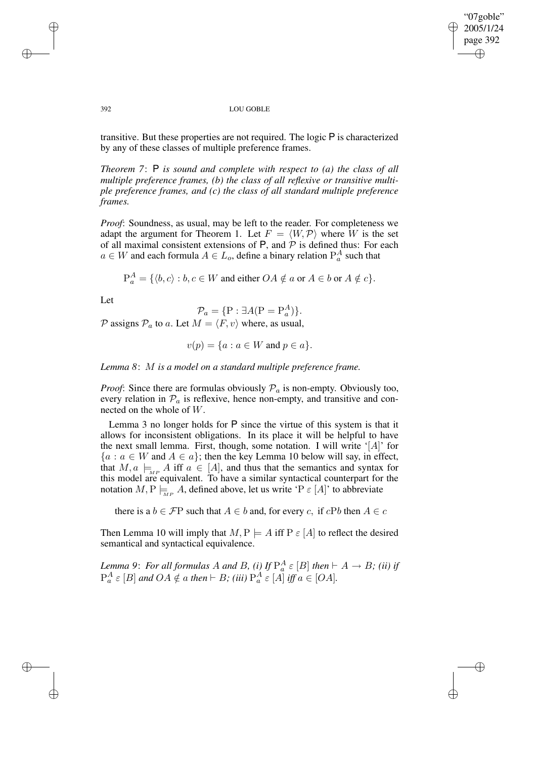"07goble" 2005/1/24 page 392 ✐ ✐

✐

✐

#### 392 LOU GOBLE

transitive. But these properties are not required. The logic P is characterized by any of these classes of multiple preference frames.

*Theorem 7*: P *is sound and complete with respect to (a) the class of all multiple preference frames, (b) the class of all reflexive or transitive multiple preference frames, and (c) the class of all standard multiple preference frames.*

*Proof*: Soundness, as usual, may be left to the reader. For completeness we adapt the argument for Theorem 1. Let  $F = \langle W, \mathcal{P} \rangle$  where W is the set of all maximal consistent extensions of  $P$ , and  $P$  is defined thus: For each  $a \in W$  and each formula  $A \in L_0$ , define a binary relation  $P_a^A$  such that

 $P_a^A = \{ \langle b, c \rangle : b, c \in W \text{ and either } OA \notin a \text{ or } A \in b \text{ or } A \notin c \}.$ 

Let

$$
\mathcal{P}_a = \{ \mathbf{P} : \exists A(\mathbf{P} = \mathbf{P}_a^A) \}.
$$

 $P$  assigns  $P_a$  to a. Let  $M = \langle F, v \rangle$  where, as usual,

$$
v(p) = \{a : a \in W \text{ and } p \in a\}.
$$

*Lemma 8*: M *is a model on a standard multiple preference frame.*

*Proof*: Since there are formulas obviously  $P_a$  is non-empty. Obviously too, every relation in  $\mathcal{P}_a$  is reflexive, hence non-empty, and transitive and connected on the whole of W.

Lemma 3 no longer holds for P since the virtue of this system is that it allows for inconsistent obligations. In its place it will be helpful to have the next small lemma. First, though, some notation. I will write '[A]' for  ${a : a \in W \text{ and } A \in a}$ ; then the key Lemma 10 below will say, in effect, that  $M, a \models_{MP} A$  iff  $a \in [A]$ , and thus that the semantics and syntax for this model are equivalent. To have a similar syntactical counterpart for the notation  $M, P \models_{MP} A$ , defined above, let us write 'P  $\varepsilon$  [A]' to abbreviate

there is a  $b \in \mathcal{F}P$  such that  $A \in b$  and, for every c, if cPb then  $A \in c$ 

Then Lemma 10 will imply that  $M, P \models A$  iff  $P \in [A]$  to reflect the desired semantical and syntactical equivalence.

*Lemma* 9: *For all formulas* A *and* B, (i) If  $P_a^A \varepsilon [B]$  then  $\vdash A \to B$ ; (ii) if  $P_a^A \varepsilon [B]$  and  $OA \notin a$  then  $\vdash B$ ; *(iii)*  $P_a^A \varepsilon [A]$  iff  $a \in [OA]$ .

✐

✐

✐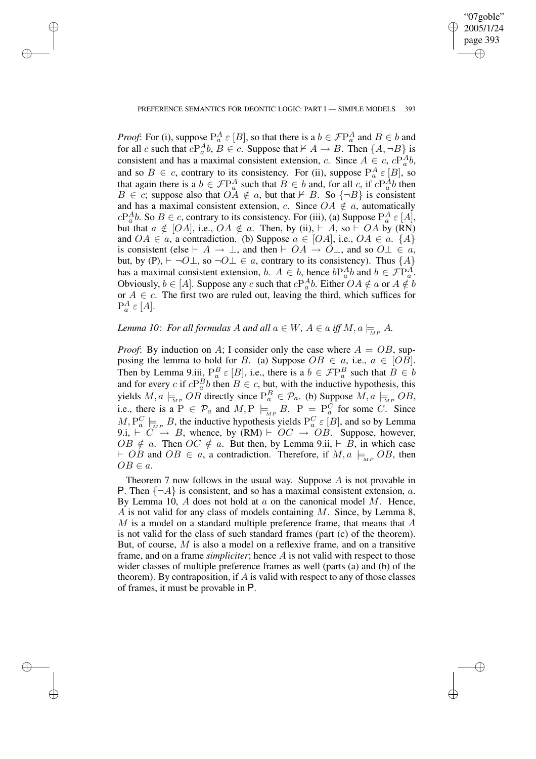✐

## PREFERENCE SEMANTICS FOR DEONTIC LOGIC: PART I — SIMPLE MODELS 393

✐

✐

✐

✐

*Proof*: For (i), suppose  $P_a^A \varepsilon [B]$ , so that there is a  $b \in \mathcal{F}P_a^A$  and  $B \in b$  and for all c such that  $cP_a^A b$ ,  $B \in c$ . Suppose that  $\nvdash A \rightarrow B$ . Then  $\{A, \neg B\}$  is consistent and has a maximal consistent extension, c. Since  $A \in c$ ,  $cP_a^A b$ , and so  $B \in c$ , contrary to its consistency. For (ii), suppose  $P_a^A \in [B]$ , so that again there is a  $b \in \mathcal{F}P_a^A$  such that  $B \in b$  and, for all c, if  $cP_a^Ab$  then  $B \in c$ ; suppose also that  $OA \notin a$ , but that  $\forall B$ . So  $\{\neg B\}$  is consistent and has a maximal consistent extension, c. Since  $OA \notin \alpha$ , automatically  $cP_a^A b$ . So  $B \in c$ , contrary to its consistency. For (iii), (a) Suppose  $P_a^A \in [A]$ , but that  $a \notin [OA]$ , i.e.,  $OA \notin a$ . Then, by (ii),  $\vdash A$ , so  $\vdash OA$  by (RN) and  $OA \in a$ , a contradiction. (b) Suppose  $a \in [OA]$ , i.e.,  $OA \in a$ .  $\{A\}$ is consistent (else  $\vdash A \to \bot$ , and then  $\vdash OA \to O\bot$ , and so  $O\bot \in a$ , but, by (P),  $\vdash \neg O \bot$ , so  $\neg O \bot \in a$ , contrary to its consistency). Thus  $\{A\}$ has a maximal consistent extension,  $b$ .  $A \in b$ , hence  $bP_a^Ab$  and  $b \in \mathcal{F}P_a^A$ . Obviously,  $b \in [A]$ . Suppose any c such that  $cP_a^A b$ . Either  $OA \notin a$  or  $A \notin b$ or  $A \in \mathfrak{c}$ . The first two are ruled out, leaving the third, which suffices for  $P_a^A \varepsilon [A].$ 

# *Lemma* 10: *For all formulas* A *and all*  $a \in W$ ,  $A \in a$  *iff*  $M$ ,  $a \models_{MP} A$ .

*Proof*: By induction on A; I consider only the case where  $A = OB$ , supposing the lemma to hold for B. (a) Suppose  $OB \in a$ , i.e.,  $a \in [OB]$ . Then by Lemma 9.iii,  $P_a^B \varepsilon [B]$ , i.e., there is a  $b \in \mathcal{F}P_a^B$  such that  $B \in b$ and for every c if  $cP_a^Bb$  then  $B \in c$ , but, with the inductive hypothesis, this yields  $M, a \models_{\mathbb{M}^P} OB$  directly since  $P_a^B \in \mathcal{P}_a$ . (b) Suppose  $M, a \models_{\mathbb{M}^P} OB$ , i.e., there is a  $P \in \mathcal{P}_a$  and  $M, P \models_{\substack{MP \ \text{supp} \ B.}} B$ .  $P = P_a^C$  for some C. Since  $M, P_a^C \models_{\text{MP}} B$ , the inductive hypothesis yields  $P_a^C \in [B]$ , and so by Lemma 9.i,  $\vdash \overrightarrow{C} \rightarrow B$ , whence, by (RM)  $\vdash \overrightarrow{OC} \rightarrow \overrightarrow{OB}$ . Suppose, however,  $OB \notin a$ . Then  $OC \notin a$ . But then, by Lemma 9.ii,  $\vdash \overline{B}$ , in which case  $\vdash$  OB and OB  $\in$  a, a contradiction. Therefore, if  $M, a \models_{\text{M}P} OB$ , then  $OB \in a$ .

Theorem 7 now follows in the usual way. Suppose A is not provable in **P.** Then  $\{\neg A\}$  is consistent, and so has a maximal consistent extension, a. By Lemma 10,  $A$  does not hold at  $a$  on the canonical model  $M$ . Hence, A is not valid for any class of models containing M. Since, by Lemma 8,  $M$  is a model on a standard multiple preference frame, that means that  $A$ is not valid for the class of such standard frames (part (c) of the theorem). But, of course, M is also a model on a reflexive frame, and on a transitive frame, and on a frame *simpliciter*; hence A is not valid with respect to those wider classes of multiple preference frames as well (parts (a) and (b) of the theorem). By contraposition, if  $\vec{A}$  is valid with respect to any of those classes of frames, it must be provable in P.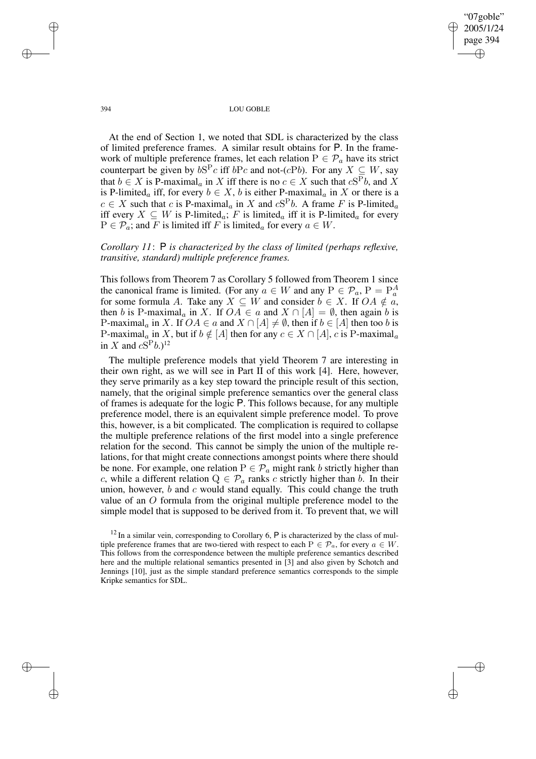"07goble" 2005/1/24 page 394 ✐ ✐

✐

✐

#### 394 LOU GOBLE

At the end of Section 1, we noted that SDL is characterized by the class of limited preference frames. A similar result obtains for P. In the framework of multiple preference frames, let each relation  $P \in \mathcal{P}_a$  have its strict counterpart be given by  $bS^P c$  iff  $bPc$  and not-( $cPb$ ). For any  $X \subseteq W$ , say that  $b \in X$  is P-maximal<sub>a</sub> in X iff there is no  $c \in X$  such that  $cS^Pb$ , and X is P-limited<sub>a</sub> iff, for every  $b \in X$ , b is either P-maximal<sub>a</sub> in X or there is a  $c \in X$  such that c is P-maximal<sub>a</sub> in X and  $cS^Pb$ . A frame F is P-limited<sub>a</sub> iff every  $X \subseteq W$  is P-limited<sub>a</sub>; F is limited<sub>a</sub> iff it is P-limited<sub>a</sub> for every  $P \in \mathcal{P}_a$ ; and F is limited iff F is limited<sub>a</sub> for every  $a \in W$ .

*Corollary 11*: P *is characterized by the class of limited (perhaps reflexive, transitive, standard) multiple preference frames.*

This follows from Theorem 7 as Corollary 5 followed from Theorem 1 since the canonical frame is limited. (For any  $a \in W$  and any  $P \in \mathcal{P}_a$ ,  $P = P_a^A$ for some formula A. Take any  $X \subseteq W$  and consider  $b \in X$ . If  $OA \notin \overline{a}$ , then b is P-maximal<sub>a</sub> in X. If  $OA \in a$  and  $X \cap [A] = \emptyset$ , then again b is P-maximal<sub>a</sub> in X. If  $OA \in a$  and  $X \cap [A] \neq \emptyset$ , then if  $b \in [A]$  then too b is P-maximal<sub>a</sub> in X, but if  $b \notin [A]$  then for any  $c \in X \cap [A]$ , c is P-maximal<sub>a</sub> in X and  $cS^Pb$ .)<sup>12</sup>

The multiple preference models that yield Theorem 7 are interesting in their own right, as we will see in Part II of this work [4]. Here, however, they serve primarily as a key step toward the principle result of this section, namely, that the original simple preference semantics over the general class of frames is adequate for the logic P. This follows because, for any multiple preference model, there is an equivalent simple preference model. To prove this, however, is a bit complicated. The complication is required to collapse the multiple preference relations of the first model into a single preference relation for the second. This cannot be simply the union of the multiple relations, for that might create connections amongst points where there should be none. For example, one relation  $P \in \mathcal{P}_a$  might rank b strictly higher than c, while a different relation  $Q \in \mathcal{P}_a$  ranks c strictly higher than b. In their union, however,  $b$  and  $c$  would stand equally. This could change the truth value of an O formula from the original multiple preference model to the simple model that is supposed to be derived from it. To prevent that, we will

✐

✐

✐

 $12$  In a similar vein, corresponding to Corollary 6, P is characterized by the class of multiple preference frames that are two-tiered with respect to each  $P \in \mathcal{P}_a$ , for every  $a \in W$ . This follows from the correspondence between the multiple preference semantics described here and the multiple relational semantics presented in [3] and also given by Schotch and Jennings [10], just as the simple standard preference semantics corresponds to the simple Kripke semantics for SDL.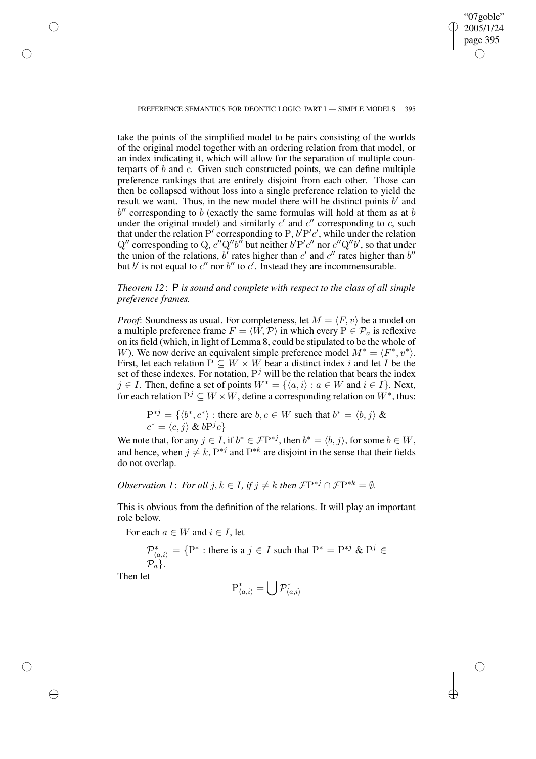✐

take the points of the simplified model to be pairs consisting of the worlds of the original model together with an ordering relation from that model, or an index indicating it, which will allow for the separation of multiple counterparts of b and c. Given such constructed points, we can define multiple preference rankings that are entirely disjoint from each other. Those can then be collapsed without loss into a single preference relation to yield the result we want. Thus, in the new model there will be distinct points  $b'$  and  $b''$  corresponding to b (exactly the same formulas will hold at them as at  $b$ under the original model) and similarly  $c'$  and  $c''$  corresponding to c, such that under the relation P' corresponding to P,  $b'P'c'$ , while under the relation Q'' corresponding to Q,  $c''Q''b^{\overline{\prime}}$  but neither  $b'P'c''$  nor  $c''Q''b'$ , so that under the union of the relations,  $b'$  rates higher than  $c'$  and  $c''$  rates higher than  $b''$ but  $b'$  is not equal to  $c''$  nor  $b''$  to  $c'$ . Instead they are incommensurable.

# *Theorem 12*: P *is sound and complete with respect to the class of all simple preference frames.*

*Proof*: Soundness as usual. For completeness, let  $M = \langle F, v \rangle$  be a model on a multiple preference frame  $F = \langle \hat{W}, \mathcal{P} \rangle$  in which every  $P \in \mathcal{P}_a$  is reflexive on its field (which, in light of Lemma 8, could be stipulated to be the whole of W). We now derive an equivalent simple preference model  $M^* = \langle F^*, v^* \rangle$ . First, let each relation  $P \subseteq W \times W$  bear a distinct index i and let I be the set of these indexes. For notation,  $P<sup>j</sup>$  will be the relation that bears the index *j* ∈ *I*. Then, define a set of points  $W^* = \{\langle a, i \rangle : a \in W \text{ and } i \in I\}.$  Next, for each relation  $P^j \subseteq W \times W$ , define a corresponding relation on  $W^*$ , thus:

 $P^{*j} = \{ \langle b^*, c^* \rangle : \text{there are } b, c \in W \text{ such that } b^* = \langle b, j \rangle \&$  $c^* = \langle c, j \rangle \& bP^j c$ 

We note that, for any  $j \in I$ , if  $b^* \in \mathcal{F}P^{*j}$ , then  $b^* = \langle b, j \rangle$ , for some  $b \in W$ , and hence, when  $j \neq k$ ,  $P^{*j}$  and  $P^{*k}$  are disjoint in the sense that their fields do not overlap.

*Observation 1: For all*  $j, k \in I$ , if  $j \neq k$  *then*  $\mathcal{F}P^{*j} \cap \mathcal{F}P^{*k} = \emptyset$ *.* 

This is obvious from the definition of the relations. It will play an important role below.

For each  $a \in W$  and  $i \in I$ , let

$$
\mathcal{P}_{\langle a,i\rangle}^* = \{P^* : \text{there is a } j \in I \text{ such that } P^* = P^{*j} \& P^j \in \mathcal{P}_a\}.
$$

Then let

✐

✐

✐

$$
\mathrm{P}_{\langle a,i\rangle}^*=\bigcup\mathcal{P}_{\langle a,i\rangle}^*
$$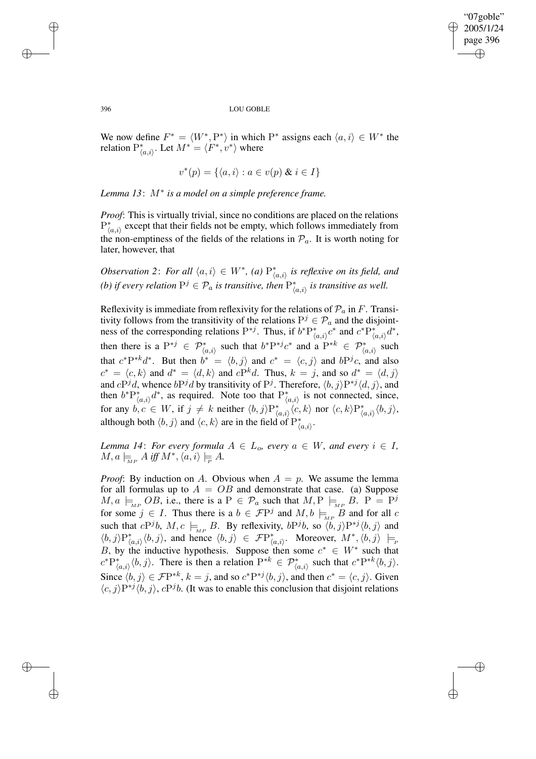✐

## 396 LOU GOBLE

We now define  $F^* = \langle W^*, P^* \rangle$  in which  $P^*$  assigns each  $\langle a, i \rangle \in W^*$  the relation  $P_{\langle a,i\rangle}^*$ . Let  $M^*=\langle F^*, v^*\rangle$  where

$$
v^*(p) = \{ \langle a, i \rangle : a \in v(p) \& i \in I \}
$$

*Lemma 13*: M<sup>∗</sup> *is a model on a simple preference frame.*

*Proof*: This is virtually trivial, since no conditions are placed on the relations  $P^*_{\langle a,i\rangle}$  except that their fields not be empty, which follows immediately from the non-emptiness of the fields of the relations in  $\mathcal{P}_a$ . It is worth noting for later, however, that

*Observation* 2: *For all*  $\langle a, i \rangle \in W^*$ , *(a)*  $P^*_{\langle a,i \rangle}$  *is reflexive on its field, and (b)* if every relation  $P^j \in \mathcal{P}_a$  is transitive, then  $P^*_{\langle a,i\rangle}$  is transitive as well.

Reflexivity is immediate from reflexivity for the relations of  $\mathcal{P}_a$  in F. Transitivity follows from the transitivity of the relations  $P^j \in \mathcal{P}_a$  and the disjointness of the corresponding relations  $P^{*j}$ . Thus, if  $b^*P^*_{\langle a,i\rangle}c^*$  and  $c^*P^*_{\langle a,i\rangle}d^*$ , then there is a  $P^{*j} \in \mathcal{P}^*_{\langle a,i\rangle}$  such that  $b^* P^{*j} c^*$  and a  $P^{*k} \in \mathcal{P}^*_{\langle a,i\rangle}$  such that  $c^*P^{*k}d^*$ . But then  $b^* = \langle b, j \rangle$  and  $c^* = \langle c, j \rangle$  and  $bP^j c$ , and also  $c^* = \langle c, k \rangle$  and  $d^* = \langle d, k \rangle$  and  $cP^k d$ . Thus,  $k = j$ , and so  $d^* = \langle d, j \rangle$ and  $cP^j d$ , whence  $bP^j d$  by transitivity of  $P^j$ . Therefore,  $\langle b, j \rangle P^{*j} \langle d, j \rangle$ , and then  $b^*P^*_{(a,i)}d^*$ , as required. Note too that  $P^*_{(a,i)}$  is not connected, since, for any  $b, c \in W$ , if  $j \neq k$  neither  $\langle b, j \rangle P^*_{\langle a, i \rangle} \langle c, k \rangle$  nor  $\langle c, k \rangle P^*_{\langle a, i \rangle} \langle b, j \rangle$ , although both  $\langle b, j \rangle$  and  $\langle c, k \rangle$  are in the field of  $P^*_{\langle a, i \rangle}$ .

*Lemma* 14: *For every formula*  $A \in L_0$ *, every*  $a \in W$ *, and every*  $i \in I$ *,*  $M, a \models_{\overline{MP}} A \text{ iff } M^*, \langle a, i \rangle \models_{\overline{P}} A.$ 

*Proof*: By induction on A. Obvious when  $A = p$ . We assume the lemma for all formulas up to  $A = OB$  and demonstrate that case. (a) Suppose  $M, a \models_{MP} OB$ , i.e., there is a  $P \in \mathcal{P}_a$  such that  $M, P \models_{MP} B$ .  $P = P^j$ for some  $j \in I$ . Thus there is a  $b \in \mathcal{F}P^j$  and  $M, b \models_{\text{MP}} B$  and for all c such that  $cP^j b$ ,  $M, c \models_{MP} B$ . By reflexivity,  $bP^j b$ , so  $\langle b, j \rangle P^{*j} \langle b, j \rangle$  and  $\langle b, j \rangle P^*_{\langle a,i \rangle} \langle b, j \rangle$ , and hence  $\langle b, j \rangle \in \mathcal{F} P^*_{\langle a,i \rangle}$ . Moreover,  $M^*, \langle b, j \rangle \models_P$ B, by the inductive hypothesis. Suppose then some  $c^* \in W^*$  such that  $c^*P^*_{\langle a,i\rangle}\langle b,j\rangle$ . There is then a relation  $P^{*k} \in \mathcal{P}^*_{\langle a,i\rangle}$  such that  $c^*P^{*k}\langle b,j\rangle$ . Since  $\langle b, j \rangle \in \mathcal{F}P^{*k}$ ,  $k = j$ , and so  $c^*P^{*j} \langle b, j \rangle$ , and then  $c^* = \langle c, j \rangle$ . Given  $\langle c, j \rangle P^{*j} \langle b, j \rangle$ ,  $cP^{j}b$ . (It was to enable this conclusion that disjoint relations

✐

✐

✐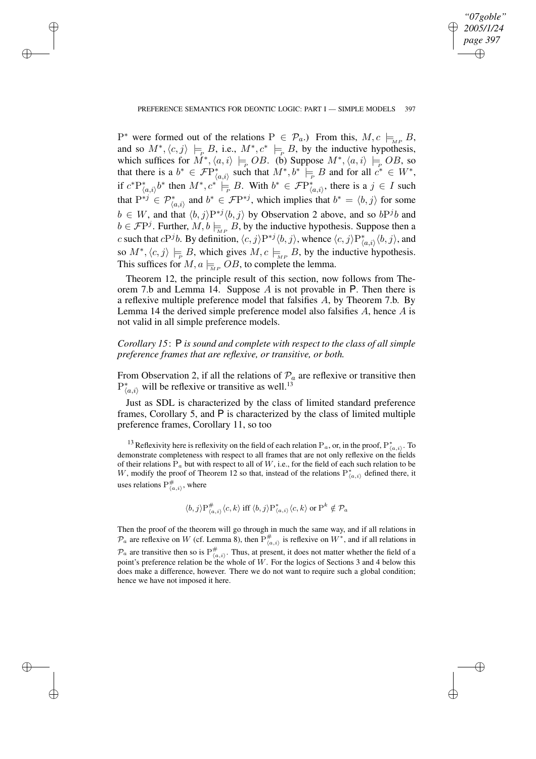✐

## PREFERENCE SEMANTICS FOR DEONTIC LOGIC: PART I — SIMPLE MODELS 397

✐

✐

✐

✐

 $P^*$  were formed out of the relations  $P \in \mathcal{P}_a$ .) From this,  $M, c \models_{_{MF}} B$ , and so  $M^*, \langle c, j \rangle \models_B B$ , i.e.,  $M^*, c^* \models_B B$ , by the inductive hypothesis, which suffices for  $\overline{M}^*, \langle a, i \rangle \models_{\rho} OB$ . (b) Suppose  $M^*, \langle a, i \rangle \models_{\rho} OB$ , so that there is a  $b^* \in \mathcal{F}P^*_{\langle a,i\rangle}$  such that  $M^*, b^* \models_B B$  and for all  $c^* \in W^*$ , if  $c^*P^*_{(a,i)}b^*$  then  $M^*, c^* \models_B B$ . With  $b^* \in \mathcal{F}P^*_{(a,i)}$ , there is a  $j \in I$  such that  $P^{*j} \in \mathcal{P}^*_{\langle a,i \rangle}$  and  $b^* \in \mathcal{F}P^{*j}$ , which implies that  $b^* = \langle b,j \rangle$  for some  $b \in W$ , and that  $\langle b, j \rangle P^{*j} \langle b, j \rangle$  by Observation 2 above, and so  $bP^{j}b$  and  $b \in \mathcal{F}P^j$ . Further,  $M, b \models_{M^p} B$ , by the inductive hypothesis. Suppose then a c such that  $cP^j b$ . By definition,  $\langle c, j \rangle P^{*j} \langle b, j \rangle$ , whence  $\langle c, j \rangle P^*_{\langle a, i \rangle} \langle b, j \rangle$ , and so  $M^*, \langle c, j \rangle \models_B B$ , which gives  $M, c \models_{MP} B$ , by the inductive hypothesis. This suffices for  $M$ ,  $a \models_{MP} OB$ , to complete the lemma.

Theorem 12, the principle result of this section, now follows from Theorem 7.b and Lemma 14. Suppose A is not provable in P. Then there is a reflexive multiple preference model that falsifies A, by Theorem 7.b. By Lemma 14 the derived simple preference model also falsifies  $A$ , hence  $A$  is not valid in all simple preference models.

*Corollary 15*: P *is sound and complete with respect to the class of all simple preference frames that are reflexive, or transitive, or both.*

From Observation 2, if all the relations of  $P_a$  are reflexive or transitive then  $P^*_{\langle a,i \rangle}$  will be reflexive or transitive as well.<sup>13</sup>

Just as SDL is characterized by the class of limited standard preference frames, Corollary 5, and P is characterized by the class of limited multiple preference frames, Corollary 11, so too

<sup>13</sup> Reflexivity here is reflexivity on the field of each relation P<sub>a</sub>, or, in the proof, P<sub>'(a,i)</sub>. To demonstrate completeness with respect to all frames that are not only reflexive on the fields of their relations  $P_a$  but with respect to all of W, i.e., for the field of each such relation to be W, modify the proof of Theorem 12 so that, instead of the relations  $P^*_{(a,i)}$  defined there, it uses relations  $P_{(a,i)}^{\#}$ , where

$$
\langle b,j\rangle P_{\langle a,i\rangle}^{\#}\langle c,k\rangle \text{ iff } \langle b,j\rangle P_{\langle a,i\rangle}^{*}\langle c,k\rangle \text{ or } P^{k}\notin \mathcal{P}_{a}
$$

Then the proof of the theorem will go through in much the same way, and if all relations in  $\mathcal{P}_a$  are reflexive on W (cf. Lemma 8), then  $\mathrm{P}^{\#}_{\langle a,i\rangle}$  is reflexive on  $W^*$ , and if all relations in  $\mathcal{P}_a$  are transitive then so is  $P_{(a,i)}^{\#}$ . Thus, at present, it does not matter whether the field of a point's preference relation be the whole of W. For the logics of Sections 3 and 4 below this does make a difference, however. There we do not want to require such a global condition; hence we have not imposed it here.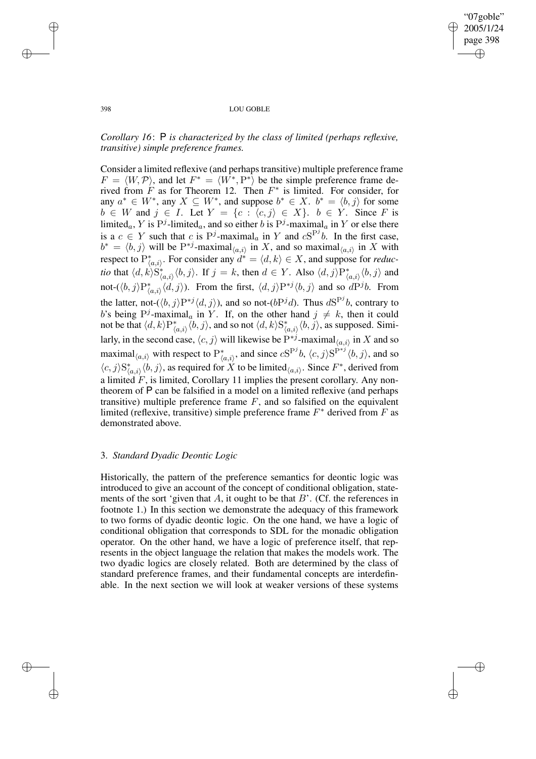✐

### 398 LOU GOBLE

# *Corollary 16*: P *is characterized by the class of limited (perhaps reflexive, transitive) simple preference frames.*

Consider a limited reflexive (and perhaps transitive) multiple preference frame  $F = \langle W, \mathcal{P} \rangle$ , and let  $F^* = \langle W^*, P^* \rangle$  be the simple preference frame derived from  $F$  as for Theorem 12. Then  $F^*$  is limited. For consider, for any  $a^* \in W^*$ , any  $X \subseteq W^*$ , and suppose  $b^* \in X$ .  $b^* = \langle b, j \rangle$  for some  $b \in W$  and  $j \in I$ . Let  $Y = \{c : \langle c, j \rangle \in X\}$ .  $b \in Y$ . Since F is limited<sub>a</sub>, Y is  $P^j$ -limited<sub>a</sub>, and so either b is  $P^j$ -maximal<sub>a</sub> in Y or else there is a  $c \in Y$  such that c is  $P^j$ -maximal<sub>a</sub> in Y and  $cS^{P^j}b$ . In the first case,  $b^* = \langle b, j \rangle$  will be  $P^{*j}$ -maximal $\langle a, i \rangle$  in X, and so maximal $\langle a, i \rangle$  in X with respect to  $P^*_{\langle a,i\rangle}$ . For consider any  $d^* = \langle d,k\rangle \in X$ , and suppose for *reductio* that  $\langle d, k \rangle S^*_{\langle a,i \rangle} \langle b, j \rangle$ . If  $j = k$ , then  $d \in Y$ . Also  $\langle d, j \rangle P^*_{\langle a,i \rangle} \langle b, j \rangle$  and not- $(\langle b, j \rangle P^*_{\langle a, i \rangle} \langle d, j \rangle)$ . From the first,  $\langle d, j \rangle P^{*j} \langle b, j \rangle$  and so  $dP^{j}b$ . From the latter, not- $(\langle b, j \rangle P^{*j} \langle d, j \rangle)$ , and so not- $(bP^{j}d)$ . Thus  $dS^{P^{j}}b$ , contrary to b's being  $P^j$ -maximal<sub>a</sub> in Y. If, on the other hand  $j \neq k$ , then it could not be that  $\langle d, k \rangle P^*_{\langle a,i \rangle} \langle b, j \rangle$ , and so not  $\langle d, k \rangle S^*_{\langle a,i \rangle} \langle b, j \rangle$ , as supposed. Similarly, in the second case,  $\langle c, j \rangle$  will likewise be  $P^{*j}$ -maximal $_{\langle a,i \rangle}$  in X and so maximal $\langle a, i \rangle$  with respect to  $P^*_{\langle a, i \rangle}$ , and since  $cS^{P^j}b$ ,  $\langle c, j \rangle S^{P^{*j}}\langle b, j \rangle$ , and so  $\langle c, j \rangle S^*_{\langle a,i \rangle} \langle b, j \rangle$ , as required for X to be limited $\langle a,i \rangle$ . Since  $F^*$ , derived from a limited  $F$ , is limited, Corollary 11 implies the present corollary. Any nontheorem of P can be falsified in a model on a limited reflexive (and perhaps transitive) multiple preference frame  $F$ , and so falsified on the equivalent limited (reflexive, transitive) simple preference frame  $F^*$  derived from  $F$  as demonstrated above.

## 3. *Standard Dyadic Deontic Logic*

Historically, the pattern of the preference semantics for deontic logic was introduced to give an account of the concept of conditional obligation, statements of the sort 'given that  $A$ , it ought to be that  $B'$ . (Cf. the references in footnote 1.) In this section we demonstrate the adequacy of this framework to two forms of dyadic deontic logic. On the one hand, we have a logic of conditional obligation that corresponds to SDL for the monadic obligation operator. On the other hand, we have a logic of preference itself, that represents in the object language the relation that makes the models work. The two dyadic logics are closely related. Both are determined by the class of standard preference frames, and their fundamental concepts are interdefinable. In the next section we will look at weaker versions of these systems

✐

✐

✐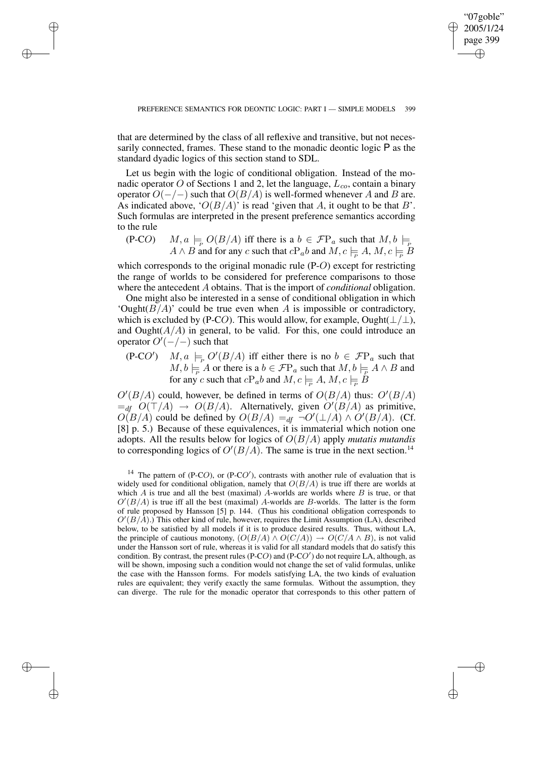"07goble" 2005/1/24 page 399

✐

✐

✐

✐

that are determined by the class of all reflexive and transitive, but not necessarily connected, frames. These stand to the monadic deontic logic P as the standard dyadic logics of this section stand to SDL.

✐

✐

✐

✐

Let us begin with the logic of conditional obligation. Instead of the monadic operator O of Sections 1 and 2, let the language,  $L_{co}$ , contain a binary operator  $O(-/-)$  such that  $O(B/A)$  is well-formed whenever A and B are. As indicated above, ' $O(B/A)$ ' is read 'given that A, it ought to be that B'. Such formulas are interpreted in the present preference semantics according to the rule

 $(P\text{-}CO)$   $M, a \models_{\mathcal{P}} O(B/A)$  iff there is a  $b \in \mathcal{F}P_a$  such that  $M, b \models_{\mathcal{P}} P_a$  $A \wedge B$  and for any c such that  $cP_a b$  and  $M, c \models_{\overline{P}} A, M, c \models_{\overline{P}} B$ 

which corresponds to the original monadic rule (P-O) except for restricting the range of worlds to be considered for preference comparisons to those where the antecedent A obtains. That is the import of *conditional* obligation.

One might also be interested in a sense of conditional obligation in which 'Ought $(B/A)$ ' could be true even when A is impossible or contradictory, which is excluded by (P-CO). This would allow, for example, Ought( $\perp/\perp$ ), and Ought( $A/A$ ) in general, to be valid. For this, one could introduce an operator  $O'(-/-)$  such that

 $(P\text{-}CO')$   $M, a \models_{P} O'(B/A)$  iff either there is no  $b \in \mathcal{F}P_a$  such that  $M, b \models_{\overline{P}} A$  or there is a  $b \in \mathcal{F}P_a$  such that  $M, b \models_{\overline{P}} A \wedge B$  and for any c such that  $cP_a b$  and  $M, c \models R A, M, c \models B$ 

 $O'(B/A)$  could, however, be defined in terms of  $O(B/A)$  thus:  $O'(B/A)$  $=_{df} O(T/A) \rightarrow O(B/A)$ . Alternatively, given  $O'(B/A)$  as primitive,  $O(B/A)$  could be defined by  $O(B/A) =_{df} \neg O'(\perp/A) \wedge O'(B/A)$ . (Cf. [8] p. 5.) Because of these equivalences, it is immaterial which notion one adopts. All the results below for logics of O(B/A) apply *mutatis mutandis* to corresponding logics of  $O'(B/A)$ . The same is true in the next section.<sup>14</sup>

<sup>&</sup>lt;sup>14</sup> The pattern of (P-CO), or (P-CO'), contrasts with another rule of evaluation that is widely used for conditional obligation, namely that  $O(B/A)$  is true iff there are worlds at which  $A$  is true and all the best (maximal)  $A$ -worlds are worlds where  $B$  is true, or that  $O'(B/A)$  is true iff all the best (maximal) A-worlds are B-worlds. The latter is the form of rule proposed by Hansson [5] p. 144. (Thus his conditional obligation corresponds to  $O'(B/A)$ .) This other kind of rule, however, requires the Limit Assumption (LA), described below, to be satisfied by all models if it is to produce desired results. Thus, without LA, the principle of cautious monotony,  $(O(B/A) \wedge O(C/A)) \rightarrow O(C/A \wedge B)$ , is not valid under the Hansson sort of rule, whereas it is valid for all standard models that do satisfy this condition. By contrast, the present rules (P-CO) and (P-CO') do not require LA, although, as will be shown, imposing such a condition would not change the set of valid formulas, unlike the case with the Hansson forms. For models satisfying LA, the two kinds of evaluation rules are equivalent; they verify exactly the same formulas. Without the assumption, they can diverge. The rule for the monadic operator that corresponds to this other pattern of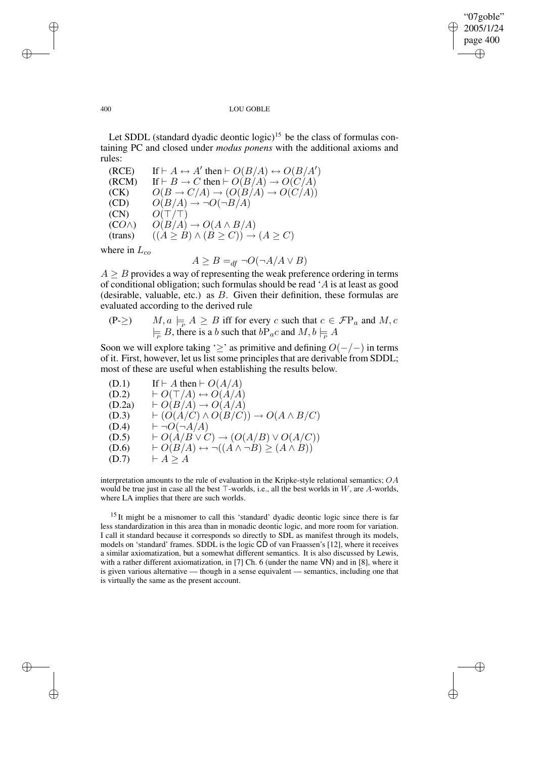✐

#### 400 LOU GOBLE

Let SDDL (standard dyadic deontic logic)<sup>15</sup> be the class of formulas containing PC and closed under *modus ponens* with the additional axioms and rules:

(RCE) If  $\vdash A \leftrightarrow A'$  then  $\vdash O(B/A) \leftrightarrow O(B/A')$  $(RCM)$  If  $\vdash B \rightarrow C$  then  $\vdash O(B/A) \rightarrow O(C/A)$  $\overrightarrow{CCK)}$   $O(B \rightarrow C/A) \rightarrow (O(\overrightarrow{B/A}) \rightarrow O(\overrightarrow{C/A}))$ <br>  $(CD)$   $O(B/A) \rightarrow \neg O(\neg B/A)$  $\overrightarrow{O(B/A)} \rightarrow \neg \overrightarrow{O(\neg B/A)}$  $(CN)$   $O(T/T)$  $(CO \wedge)$   $O(B/A) \rightarrow O(A \wedge B/A)$ (trans)  $((A \geq B) \land (B \geq C)) \rightarrow (A \geq C)$ 

where in  $L_{co}$ 

$$
A \ge B =_{df} \neg O(\neg A/A \lor B)
$$

 $A \geq B$  provides a way of representing the weak preference ordering in terms of conditional obligation; such formulas should be read 'A is at least as good (desirable, valuable, etc.) as  $B$ . Given their definition, these formulas are evaluated according to the derived rule

$$
\begin{array}{ll}\n\text{(P-2)} & M, a \models_{\mathcal{P}} A \geq B \text{ iff for every } c \text{ such that } c \in \mathcal{F}\mathcal{P}_a \text{ and } M, c \\
& \models_{\mathcal{P}} B \text{, there is a } b \text{ such that } b\mathcal{P}_ac \text{ and } M, b \models_{\mathcal{P}} A\n\end{array}
$$

Soon we will explore taking ' $\geq$ ' as primitive and defining  $O(-/-)$  in terms of it. First, however, let us list some principles that are derivable from SDDL; most of these are useful when establishing the results below.

(D.1) If  $\vdash A$  then  $\vdash O(A/A)$  $(D.2) \qquad \vdash O(\top/A) \leftrightarrow O(A/A)$  $(D.2a)$   $\vdash O(B/A) \rightarrow O(A/A)$ (D.3)  $\qquad \vdash (O(A/C) \land O(B/C)) \rightarrow O(A \land B/C)$  $(D.4)$   $\vdash \neg O(\neg A/A)$  $(D.5) \qquad \vdash O(A/B \lor C) \rightarrow (O(A/B) \lor O(A/C))$  $(D.6) \qquad \vdash O(B/A) \leftrightarrow \neg((A \land \neg B) \geq (A \land B))$  $(D.7)$   $\vdash A > A$ 

interpretation amounts to the rule of evaluation in the Kripke-style relational semantics;  $OA$ would be true just in case all the best  $\top$ -worlds, i.e., all the best worlds in W, are A-worlds, where LA implies that there are such worlds.

<sup>15</sup> It might be a misnomer to call this 'standard' dyadic deontic logic since there is far less standardization in this area than in monadic deontic logic, and more room for variation. I call it standard because it corresponds so directly to SDL as manifest through its models, models on 'standard' frames. SDDL is the logic CD of van Fraassen's [12], where it receives a similar axiomatization, but a somewhat different semantics. It is also discussed by Lewis, with a rather different axiomatization, in [7] Ch. 6 (under the name VN) and in [8], where it is given various alternative — though in a sense equivalent — semantics, including one that is virtually the same as the present account.

✐

✐

✐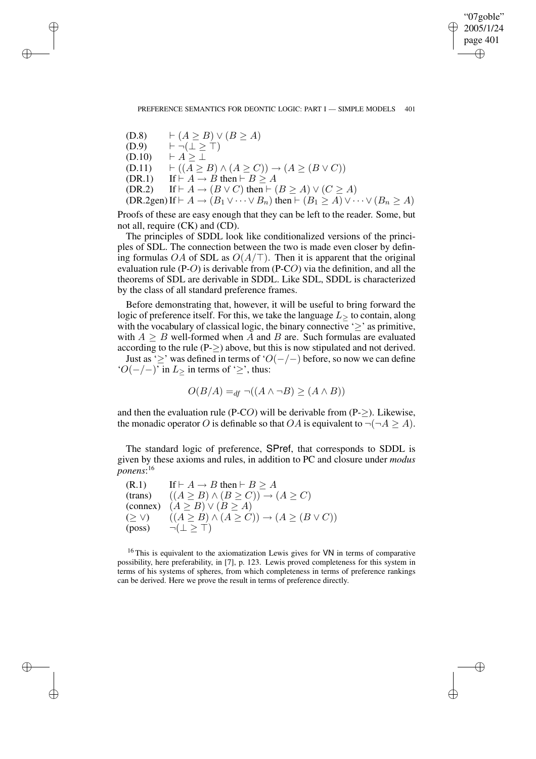"07goble" 2005/1/24 page 401 ✐ ✐

✐

✐

✐

✐

✐

✐

 $(D.8) \qquad \vdash (A \geq B) \vee (B \geq A)$  $(D.9)$   $\vdash \neg (\bot \geq \top)$  $(D.10)$   $\vdash A \geq \bot$ (D.11)  $\vdash ((A \geq B) \land (A \geq C)) \rightarrow (A \geq (B \lor C))$ (DR.1) If  $\vdash A \rightarrow B$  then  $\vdash B \ge A$ (DR.2) If  $\vdash A \rightarrow (B \lor C)$  then  $\vdash (B \ge A) \lor (C \ge A)$ (DR.2gen) If  $\vdash A \to (B_1 \vee \cdots \vee B_n)$  then  $\vdash (B_1 \geq A) \vee \cdots \vee (B_n \geq A)$ 

Proofs of these are easy enough that they can be left to the reader. Some, but not all, require (CK) and (CD).

The principles of SDDL look like conditionalized versions of the principles of SDL. The connection between the two is made even closer by defining formulas OA of SDL as  $O(A/\top)$ . Then it is apparent that the original evaluation rule (P-O) is derivable from (P-CO) via the definition, and all the theorems of SDL are derivable in SDDL. Like SDL, SDDL is characterized by the class of all standard preference frames.

Before demonstrating that, however, it will be useful to bring forward the logic of preference itself. For this, we take the language  $L$  to contain, along with the vocabulary of classical logic, the binary connective ' $\geq$ ' as primitive, with  $A \geq B$  well-formed when A and B are. Such formulas are evaluated according to the rule ( $P \geq$ ) above, but this is now stipulated and not derived.

Just as ' $\geq$ ' was defined in terms of 'O(−/−) before, so now we can define  $'O(-/-)'$  in  $L$  in terms of ' $\geq$ ', thus:

$$
O(B/A) =_{df} \neg((A \land \neg B) \ge (A \land B))
$$

and then the evaluation rule (P-CO) will be derivable from  $(P-$ >). Likewise, the monadic operator O is definable so that OA is equivalent to  $\neg(\neg A \geq A)$ .

The standard logic of preference, SPref, that corresponds to SDDL is given by these axioms and rules, in addition to PC and closure under *modus ponens*: 16

 $(R.1)$  If  $\vdash A \rightarrow B$  then  $\vdash B \geq A$ (trans)  $((A \geq B) \land (B \geq C)) \rightarrow (A \geq C)$ (connex)  $(A \geq B) \vee (B \geq A)$  $(\geq \vee)$   $((A \geq B) \wedge (A \geq C)) \rightarrow (A \geq (B \vee C))$  $(\text{poss}) \qquad \neg (\perp \geq \top)$ 

<sup>16</sup> This is equivalent to the axiomatization Lewis gives for VN in terms of comparative possibility, here preferability, in [7], p. 123. Lewis proved completeness for this system in terms of his systems of spheres, from which completeness in terms of preference rankings can be derived. Here we prove the result in terms of preference directly.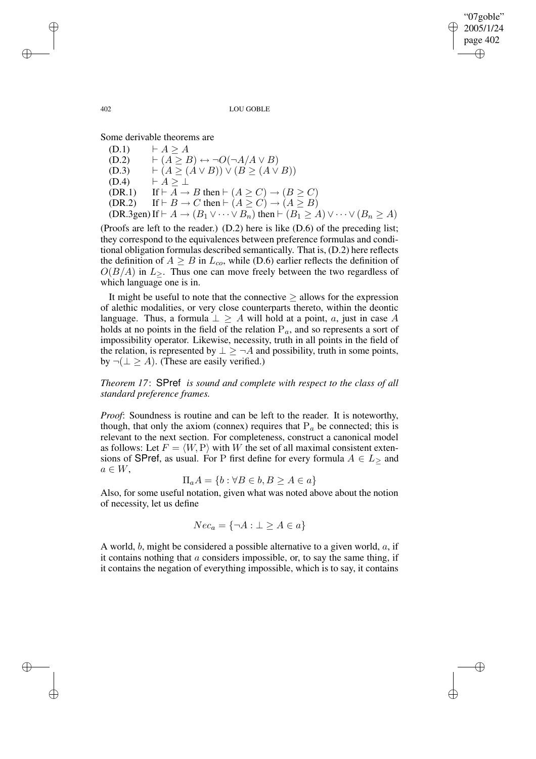2005/1/24 page 402 ✐

✐

✐

"07goble"

✐

402 LOU GOBLE

Some derivable theorems are

 $(D.1) \qquad \vdash A > A$  $(D.2) \qquad \vdash (A \geq B) \leftrightarrow \neg O(\neg A/A \vee B)$ (D.3)  $\vdash (A \geq (A \vee B)) \vee (B \geq (A \vee B))$  $(D.4)$   $\vdash A \geq \bot$ (DR.1) If  $\vdash A \rightarrow B$  then  $\vdash (A \ge C) \rightarrow (B \ge C)$ (DR.2) If  $\vdash B \to C$  then  $\vdash (A \ge C) \to (A \ge B)$ (DR.3gen) If  $\vdash A \rightarrow (B_1 \vee \cdots \vee B_n)$  then  $\vdash (B_1 \geq A) \vee \cdots \vee (B_n \geq A)$ 

(Proofs are left to the reader.) (D.2) here is like (D.6) of the preceding list; they correspond to the equivalences between preference formulas and conditional obligation formulas described semantically. That is, (D.2) here reflects the definition of  $A \geq B$  in  $L_{co}$ , while (D.6) earlier reflects the definition of  $O(B/A)$  in  $L_{\geq}$ . Thus one can move freely between the two regardless of which language one is in.

It might be useful to note that the connective  $\geq$  allows for the expression of alethic modalities, or very close counterparts thereto, within the deontic language. Thus, a formula  $\perp \geq A$  will hold at a point, a, just in case A holds at no points in the field of the relation  $P_a$ , and so represents a sort of impossibility operator. Likewise, necessity, truth in all points in the field of the relation, is represented by  $\perp$  >  $\neg A$  and possibility, truth in some points, by  $\neg(\perp \geq A)$ . (These are easily verified.)

*Theorem 17*: SPref *is sound and complete with respect to the class of all standard preference frames.*

*Proof*: Soundness is routine and can be left to the reader. It is noteworthy, though, that only the axiom (connex) requires that  $P_a$  be connected; this is relevant to the next section. For completeness, construct a canonical model as follows: Let  $F = \langle W, P \rangle$  with W the set of all maximal consistent extensions of SPref, as usual. For P first define for every formula  $A \in L$  and  $a \in W$ ,

$$
\Pi_a A = \{b : \forall B \in b, B \ge A \in a\}
$$

Also, for some useful notation, given what was noted above about the notion of necessity, let us define

$$
Nec_a = \{\neg A : \bot \ge A \in a\}
$$

A world,  $b$ , might be considered a possible alternative to a given world,  $a$ , if it contains nothing that  $\alpha$  considers impossible, or, to say the same thing, if it contains the negation of everything impossible, which is to say, it contains

✐

✐

✐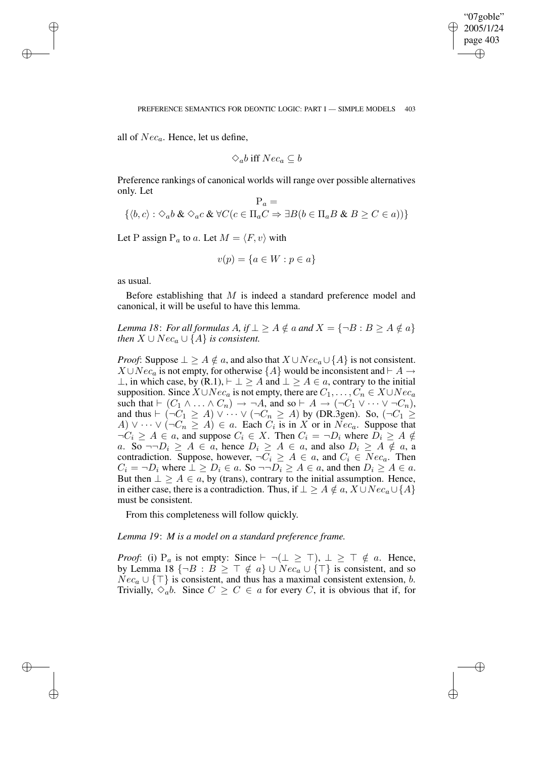✐

all of  $Nec_a$ . Hence, let us define,

$$
\Diamond_a b \text{ iff } N e c_a \subseteq b
$$

Preference rankings of canonical worlds will range over possible alternatives only. Let

$$
\mathcal{P}_a = \{ \langle b, c \rangle : \Diamond_a b \& \Diamond_a c \& \forall C (c \in \Pi_a C \Rightarrow \exists B (b \in \Pi_a B \& B \ge C \in a) ) \}
$$

Let P assign  $P_a$  to a. Let  $M = \langle F, v \rangle$  with

$$
v(p) = \{a \in W : p \in a\}
$$

as usual.

 $\rightarrow$ 

 $\rightarrow$ 

✐

✐

Before establishing that  $M$  is indeed a standard preference model and canonical, it will be useful to have this lemma.

*Lemma* 18: *For all formulas*  $A$ *, if*  $\perp \geq A \notin a$  *and*  $X = \{\neg B : B \geq A \notin a\}$ *then*  $X \cup Nec_a \cup \{A\}$  *is consistent.* 

*Proof*: Suppose  $\perp \geq A \notin a$ , and also that  $X \cup Nec_a \cup \{A\}$  is not consistent.  $X \cup Nec_a$  is not empty, for otherwise  $\{A\}$  would be inconsistent and  $\vdash A \rightarrow$ ⊥, in which case, by  $(R,1)$ ,  $\vdash \bot > A$  and  $\bot > A \in a$ , contrary to the initial supposition. Since  $X \cup Nec_a$  is not empty, there are  $C_1, \ldots, C_n \in X \cup Nec_a$ such that  $\vdash (C_1 \land \ldots \land C_n) \rightarrow \neg A$ , and so  $\vdash A \rightarrow (\neg C_1 \lor \cdots \lor \neg C_n)$ , and thus  $\vdash (\neg C_1 \geq A) \vee \cdots \vee (\neg C_n \geq A)$  by (DR.3gen). So,  $(\neg C_1 \geq A)$  $A) \vee \cdots \vee (\neg C_n \geq A) \in a$ . Each  $C_i$  is in X or in  $Nec_a$ . Suppose that  $\neg C_i \ge A \in \mathfrak{a}$ , and suppose  $C_i \in X$ . Then  $C_i = \neg D_i$  where  $D_i \ge A \notin \mathfrak{a}$ a. So  $\neg D_i \geq A \in a$ , hence  $D_i \geq A \in a$ , and also  $D_i \geq A \notin a$ , a contradiction. Suppose, however,  $\neg C_i \geq A \in \alpha$ , and  $C_i \in Nec_{\alpha}$ . Then  $C_i = \neg D_i$  where  $\bot \geq D_i \in a$ . So  $\neg \neg D_i \geq A \in a$ , and then  $D_i \geq A \in a$ . But then  $\perp \geq A \in a$ , by (trans), contrary to the initial assumption. Hence, in either case, there is a contradiction. Thus, if  $\bot \geq A \notin a$ ,  $X \cup Nec_a \cup \{A\}$ must be consistent.

From this completeness will follow quickly.

*Lemma 19*: *M is a model on a standard preference frame.*

*Proof*: (i)  $P_a$  is not empty: Since  $\vdash \neg (\perp \geq \top)$ ,  $\perp \geq \top \notin a$ . Hence, by Lemma 18  $\{\neg B : B \geq \top \notin a\} \cup Nec_a \cup \{\top\}$  is consistent, and so  $Nec_a \cup {\{\top\}}$  is consistent, and thus has a maximal consistent extension, b. Trivially,  $\Diamond_a b$ . Since  $C \geq C \in a$  for every C, it is obvious that if, for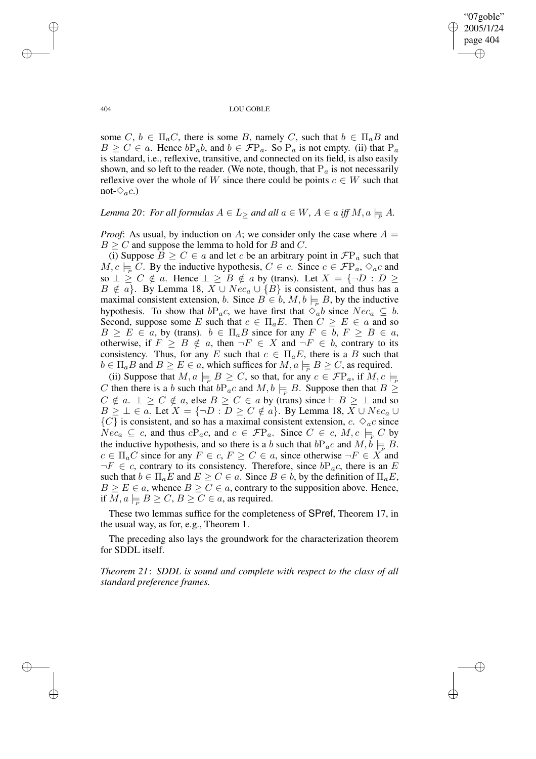✐

404 LOU GOBLE

some  $C, b \in \Pi_a C$ , there is some B, namely C, such that  $b \in \Pi_a B$  and  $B \ge C \in a$ . Hence  $bP_a b$ , and  $b \in \mathcal{F}P_a$ . So  $P_a$  is not empty. (ii) that  $P_a$ is standard, i.e., reflexive, transitive, and connected on its field, is also easily shown, and so left to the reader. (We note, though, that  $P_a$  is not necessarily reflexive over the whole of W since there could be points  $c \in W$  such that not- $\Diamond_a c$ .)

*Lemma* 20: *For all formulas*  $A \in L$  > *and all*  $a \in W$ ,  $A \in a$  *iff*  $M$ ,  $a \models A$ .

*Proof*: As usual, by induction on A; we consider only the case where  $A =$  $B \ge C$  and suppose the lemma to hold for B and C.

(i) Suppose  $B \ge C \in \mathfrak{a}$  and let c be an arbitrary point in  $\mathcal{F}P_{\mathfrak{a}}$  such that  $M, c \models \overline{C}$ . By the inductive hypothesis,  $C \in c$ . Since  $c \in \mathcal{F}P_a$ ,  $\diamond_{a}c$  and so  $\perp \ge C \notin a$ . Hence  $\perp \ge B \notin a$  by (trans). Let  $X = \{\neg D : D \ge \emptyset\}$  $B \notin a$ . By Lemma 18,  $X \cup Nec_a \cup \{B\}$  is consistent, and thus has a maximal consistent extension, b. Since  $B \in b$ ,  $M, b \models B$ , by the inductive hypothesis. To show that  $bP_a c$ , we have first that  $\Diamond_a b$  since  $Nec_a \subseteq b$ . Second, suppose some E such that  $c \in \Pi_a E$ . Then  $C \geq E \in a$  and so  $B \ge E \in a$ , by (trans).  $b \in \Pi_a B$  since for any  $F \in b$ ,  $F \ge B \in a$ , otherwise, if  $F \geq B \notin a$ , then  $\neg F \in X$  and  $\neg F \in b$ , contrary to its consistency. Thus, for any E such that  $c \in \Pi_a E$ , there is a B such that  $b \in \Pi_a B$  and  $B \ge E \in a$ , which suffices for  $M, a \models B \ge C$ , as required.

(ii) Suppose that  $M, a \models B \ge C$ , so that, for any  $c \in \mathcal{F}\mathbb{P}_a$ , if  $M, c \models_{\mathbb{P}_p}$ C then there is a b such that  $bP_a c$  and  $M, b \models B$ . Suppose then that  $B \geq$  $C \notin a$ .  $\perp \ge C \notin a$ , else  $B \ge C \in a$  by (trans) since  $\vdash B \ge \perp$  and so  $B \geq \bot \in \alpha$ . Let  $X = \{\neg D : D \geq C \notin \alpha\}$ . By Lemma 18,  $X \cup Nec_{\alpha} \cup$  ${C}$  is consistent, and so has a maximal consistent extension, c.  $\Diamond_a c$  since  $Nec_a \subseteq c$ , and thus  $cP_a c$ , and  $c \in \mathcal{F}P_a$ . Since  $C \in c$ ,  $M, c \models_{\mathcal{P}} C$  by the inductive hypothesis, and so there is a b such that  $bP_a c$  and  $M, b \models B$ .  $c \in \Pi_a C$  since for any  $F \in c$ ,  $F \geq C \in a$ , since otherwise  $\neg F \in X$  and  $\neg F \in c$ , contrary to its consistency. Therefore, since  $bP_a c$ , there is an E such that  $b \in \Pi_a E$  and  $E \ge C \in a$ . Since  $B \in b$ , by the definition of  $\Pi_a E$ ,  $B \ge E \in \mathfrak{a}$ , whence  $B \ge C \in \mathfrak{a}$ , contrary to the supposition above. Hence, if  $M, a \models B \ge C, B \ge C \in a$ , as required.

These two lemmas suffice for the completeness of SPref, Theorem 17, in the usual way, as for, e.g., Theorem 1.

The preceding also lays the groundwork for the characterization theorem for SDDL itself.

*Theorem 21*: *SDDL is sound and complete with respect to the class of all standard preference frames.*

 $\rightarrow$ 

 $\rightarrow$ 

✐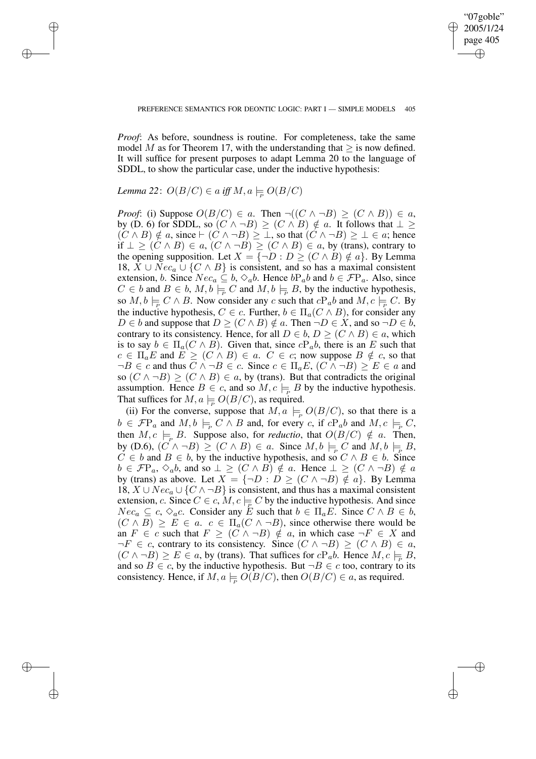✐

*Proof*: As before, soundness is routine. For completeness, take the same model M as for Theorem 17, with the understanding that  $\geq$  is now defined. It will suffice for present purposes to adapt Lemma 20 to the language of SDDL, to show the particular case, under the inductive hypothesis:

# *Lemma* 22:  $O(B/C) \in a$  *iff*  $M, a \models O(B/C)$

 $\rightarrow$ 

 $\rightarrow$ 

✐

✐

*Proof*: (i) Suppose  $O(B/C) \in a$ . Then  $\neg((C \land \neg B) \ge (C \land B)) \in a$ , by (D. 6) for SDDL, so  $(C \wedge \neg B) > (C \wedge B) \notin a$ . It follows that  $\perp$  $(C \wedge B) \notin a$ , since  $\vdash (C \wedge \neg B) \ge \bot$ , so that  $(C \wedge \neg B) \ge \bot \in a$ ; hence if  $\bot \geq (C \land B) \in a$ ,  $(C \land \neg B) \geq (C \land B) \in a$ , by (trans), contrary to the opening supposition. Let  $X = \{\neg D : D \ge (C \land B) \notin a\}$ . By Lemma 18,  $X \cup Nec_a \cup \{C \land B\}$  is consistent, and so has a maximal consistent extension, b. Since  $Nec_a \subseteq b$ ,  $\diamond_a b$ . Hence  $bP_a b$  and  $b \in \mathcal{F}P_a$ . Also, since  $C \in b$  and  $B \in b$ ,  $M, b \models_{\mathcal{P}} C$  and  $M, b \models_{\mathcal{P}} B$ , by the inductive hypothesis, so  $M, b \models C \land B$ . Now consider any c such that  $cP_a b$  and  $M, c \models C$ . By the inductive hypothesis,  $C \in c$ . Further,  $b \in \Pi_a(C \wedge B)$ , for consider any  $D \in b$  and suppose that  $D \ge (C \wedge B) \notin a$ . Then  $\neg D \in X$ , and so  $\neg D \in b$ , contrary to its consistency. Hence, for all  $D \in b$ ,  $D \ge (C \wedge B) \in a$ , which is to say  $b \in \Pi_a(C \wedge B)$ . Given that, since  $cP_a b$ , there is an E such that  $c \in \Pi_a E$  and  $E \ge (C \wedge B) \in a$ .  $C \in c$ ; now suppose  $B \notin c$ , so that  $\neg B \in \mathbb{C}$  and thus  $\overline{C} \land \neg B \in \mathbb{C}$ . Since  $c \in \Pi_a E$ ,  $(\overline{C} \land \neg B) \ge E \in \mathbb{C}$  and so  $(C \wedge \neg B) \ge (C \wedge B) \in a$ , by (trans). But that contradicts the original assumption. Hence  $B \in \mathcal{C}$ , and so  $M, \mathcal{C} \models B$  by the inductive hypothesis. That suffices for  $M, a \models O(B/C)$ , as required.

(ii) For the converse, suppose that  $M, a \models_{\mathcal{P}} O(B/C)$ , so that there is a  $b \in \mathcal{F}P_a$  and  $M, b \models_{\mathcal{P}} C \wedge B$  and, for every c, if  $cP_a b$  and  $M, c \models_{\mathcal{P}} C$ , then  $M, c \models_{\mathcal{P}} B$ . Suppose also, for *reductio*, that  $O(B/C) \notin a$ . Then, by (D.6),  $(C \wedge \neg B) \ge (C \wedge B) \in a$ . Since  $M, b \models_{\neg} C$  and  $M, b \models_{\neg} B$ ,  $C \in b$  and  $B \in b$ , by the inductive hypothesis, and so  $C \wedge B \in b$ . Since  $b \in \mathcal{F}P_a$ ,  $\diamond_a b$ , and so  $\bot \geq (C \land B) \notin a$ . Hence  $\bot \geq (C \land \neg B) \notin a$ by (trans) as above. Let  $X = \{\neg D : D \ge (C \land \neg B) \notin \hat{a}\}\)$ . By Lemma 18,  $X \cup Nec_a \cup \{C \land \neg B\}$  is consistent, and thus has a maximal consistent extension, c. Since  $C \in c$ ,  $M$ ,  $c \models_C C$  by the inductive hypothesis. And since  $Nec_a \subseteq c$ ,  $\diamond_{a}c$ . Consider any E such that  $b \in \Pi_a E$ . Since  $C \wedge B \in b$ ,  $(C \wedge B) \ge E \in a$ .  $c \in \Pi_a(C \wedge \neg B)$ , since otherwise there would be an  $F \in c$  such that  $F \ge (C \wedge \neg B) \notin a$ , in which case  $\neg F \in X$  and  $\neg F \in c$ , contrary to its consistency. Since  $(C \land \neg B) \ge (C \land B) \in a$ ,  $(C \wedge \neg B) \ge E \in a$ , by (trans). That suffices for  $cP_a b$ . Hence  $M, c \models B$ , and so  $B \in c$ , by the inductive hypothesis. But  $\neg B \in c$  too, contrary to its consistency. Hence, if  $M, a \models O(B/C)$ , then  $O(B/C) \in a$ , as required.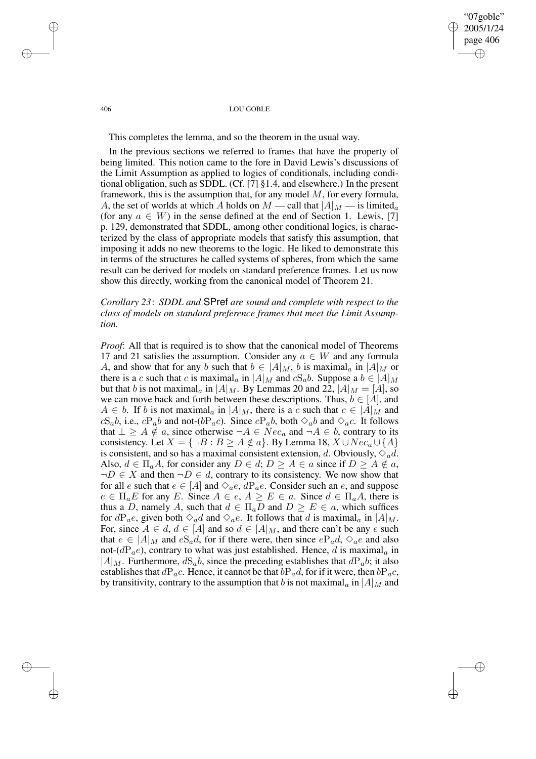"07goble" 2005/1/24 page 406 ✐ ✐

✐

✐

#### 406 LOU GOBLE

This completes the lemma, and so the theorem in the usual way.

In the previous sections we referred to frames that have the property of being limited. This notion came to the fore in David Lewis's discussions of the Limit Assumption as applied to logics of conditionals, including conditional obligation, such as SDDL. (Cf. [7] §1.4, and elsewhere.) In the present framework, this is the assumption that, for any model  $M$ , for every formula, A, the set of worlds at which A holds on  $M$  — call that  $|A|_M$  — is limited<sub>a</sub> (for any  $a \in W$ ) in the sense defined at the end of Section 1. Lewis, [7] p. 129, demonstrated that SDDL, among other conditional logics, is characterized by the class of appropriate models that satisfy this assumption, that imposing it adds no new theorems to the logic. He liked to demonstrate this in terms of the structures he called systems of spheres, from which the same result can be derived for models on standard preference frames. Let us now show this directly, working from the canonical model of Theorem 21.

# *Corollary 23*: *SDDL and* SPref *are sound and complete with respect to the class of models on standard preference frames that meet the Limit Assumption.*

*Proof*: All that is required is to show that the canonical model of Theorems 17 and 21 satisfies the assumption. Consider any  $a \in W$  and any formula A, and show that for any b such that  $b \in |A|_M$ , b is maximal<sub>a</sub> in  $|A|_M$  or there is a c such that c is maximal<sub>a</sub> in  $|A|_M$  and  $cS_a b$ . Suppose a  $b \in |A|_M$ but that b is not maximal<sub>a</sub> in  $|A|_M$ . By Lemmas 20 and 22,  $|A|_M = |A|$ , so we can move back and forth between these descriptions. Thus,  $b \in [A]$ , and  $A \in b$ . If b is not maximal<sub>a</sub> in  $|A|_M$ , there is a c such that  $c \in |A|_M$  and  $cS_a b$ , i.e.,  $cP_a b$  and not-( $bP_a c$ ). Since  $cP_a b$ , both  $\Diamond_a b$  and  $\Diamond_a c$ . It follows that  $\perp \geq A \notin a$ , since otherwise  $\neg A \in Nec_a$  and  $\neg A \in b$ , contrary to its consistency. Let  $X = \{\neg B : B \ge A \notin a\}$ . By Lemma 18,  $X \cup Nec_a \cup \{A\}$ is consistent, and so has a maximal consistent extension, d. Obviously,  $\Diamond_a d$ . Also,  $d \in \Pi_a A$ , for consider any  $D \in d$ ;  $D \ge A \in a$  since if  $D \ge A \notin a$ ,  $\neg D \in X$  and then  $\neg D \in d$ , contrary to its consistency. We now show that for all e such that  $e \in [A]$  and  $\Diamond_a e$ ,  $dP_a e$ . Consider such an e, and suppose  $e \in \Pi_a E$  for any E. Since  $A \in e$ ,  $A \ge E \in a$ . Since  $d \in \Pi_a A$ , there is thus a D, namely A, such that  $d \in \Pi_a D$  and  $D \geq E \in a$ , which suffices for  $dP_ae$ , given both  $\Diamond_a d$  and  $\Diamond_a e$ . It follows that d is maximal<sub>a</sub> in  $|A|_M$ . For, since  $A \in d$ ,  $d \in [A]$  and so  $d \in |A|_M$ , and there can't be any e such that  $e \in |A|_M$  and  $eS_a d$ , for if there were, then since  $eP_a d$ ,  $\Diamond_a e$  and also not-( $dP_a$ e), contrary to what was just established. Hence, d is maximal<sub>a</sub> in  $|A|_M$ . Furthermore,  $dS_a b$ , since the preceding establishes that  $dP_a b$ ; it also establishes that  $dP_a c$ . Hence, it cannot be that  $bP_a d$ , for if it were, then  $bP_a c$ , by transitivity, contrary to the assumption that b is not maximal<sub>a</sub> in  $|A|_M$  and

 $\rightarrow$ 

 $\rightarrow$ 

✐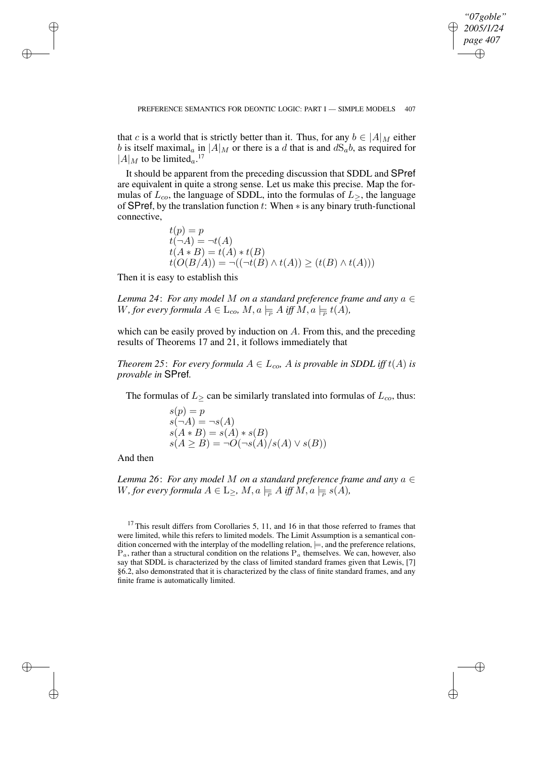✐

that c is a world that is strictly better than it. Thus, for any  $b \in |A|_M$  either b is itself maximal<sub>a</sub> in  $|A|_M$  or there is a d that is and  $dS_a b$ , as required for  $|A|_M$  to be limited<sub>a</sub>.<sup>17</sup>

It should be apparent from the preceding discussion that SDDL and SPref are equivalent in quite a strong sense. Let us make this precise. Map the formulas of  $L_{co}$ , the language of SDDL, into the formulas of  $L_{\geq}$ , the language of SPref, by the translation function t: When  $*$  is any binary truth-functional connective,

$$
t(p) = p
$$
  
\n
$$
t(\neg A) = \neg t(A)
$$
  
\n
$$
t(A * B) = t(A) * t(B)
$$
  
\n
$$
t(O(B/A)) = \neg ((\neg t(B) \land t(A)) \ge (t(B) \land t(A)))
$$

Then it is easy to establish this

*Lemma 24*: *For any model* M *on a standard preference frame and any* a ∈ W, for every formula  $A \in \mathcal{L}_{co}$ ,  $M, a \models_{\mathcal{P}} A$  iff  $M, a \models_{\mathcal{P}} t(A)$ ,

which can be easily proved by induction on A. From this, and the preceding results of Theorems 17 and 21, it follows immediately that

*Theorem* 25: *For every formula*  $A \in L_{co}$ , *A is provable in SDDL iff*  $t(A)$  *is provable in* SPref*.*

The formulas of  $L_{\ge}$  can be similarly translated into formulas of  $L_{co}$ , thus:

$$
s(p) = p
$$
  
\n
$$
s(\neg A) = \neg s(A)
$$
  
\n
$$
s(A * B) = s(A) * s(B)
$$
  
\n
$$
s(A \ge B) = \neg O(\neg s(A)/s(A) \lor s(B))
$$

And then

 $\rightarrow$ 

 $\rightarrow$ 

✐

✐

*Lemma* 26: *For any model* M *on a standard preference frame and any*  $a \in$ W, for every formula  $A \in \mathbb{L}_{\geq}$ ,  $M, a \models_{\overline{P}} A$  iff  $M, a \models_{\overline{P}} s(A)$ ,

 $17$  This result differs from Corollaries 5, 11, and 16 in that those referred to frames that were limited, while this refers to limited models. The Limit Assumption is a semantical condition concerned with the interplay of the modelling relation,  $\models$ , and the preference relations,  $P_a$ , rather than a structural condition on the relations  $P_a$  themselves. We can, however, also say that SDDL is characterized by the class of limited standard frames given that Lewis, [7] §6.2, also demonstrated that it is characterized by the class of finite standard frames, and any finite frame is automatically limited.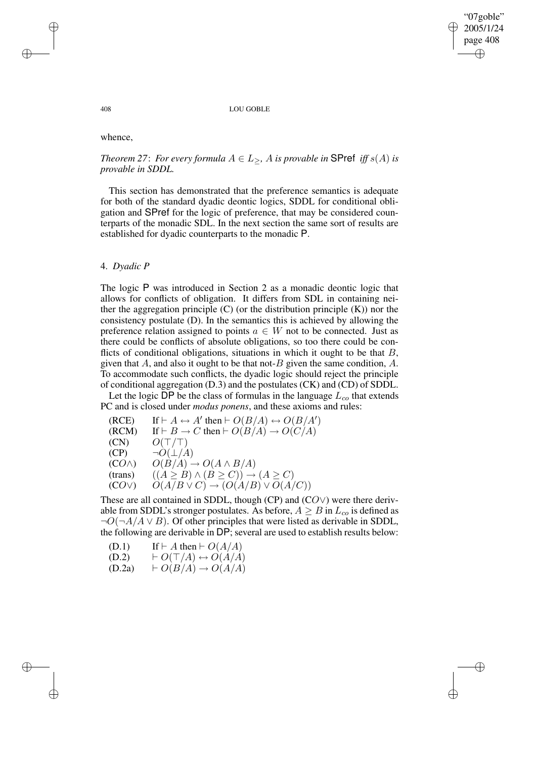✐

408 LOU GOBLE

whence,

# *Theorem* 27: *For every formula*  $A \in L_{>}$ *, A is provable in* **SPref** *iff*  $s(A)$  *is provable in SDDL.*

This section has demonstrated that the preference semantics is adequate for both of the standard dyadic deontic logics, SDDL for conditional obligation and SPref for the logic of preference, that may be considered counterparts of the monadic SDL. In the next section the same sort of results are established for dyadic counterparts to the monadic P.

## 4. *Dyadic P*

The logic P was introduced in Section 2 as a monadic deontic logic that allows for conflicts of obligation. It differs from SDL in containing neither the aggregation principle  $(C)$  (or the distribution principle  $(K)$ ) nor the consistency postulate (D). In the semantics this is achieved by allowing the preference relation assigned to points  $a \in W$  not to be connected. Just as there could be conflicts of absolute obligations, so too there could be conflicts of conditional obligations, situations in which it ought to be that  $B$ , given that A, and also it ought to be that not-B given the same condition,  $A$ . To accommodate such conflicts, the dyadic logic should reject the principle of conditional aggregation (D.3) and the postulates (CK) and (CD) of SDDL.

Let the logic DP be the class of formulas in the language  $L_{co}$  that extends PC and is closed under *modus ponens*, and these axioms and rules:

(RCE) If  $\vdash A \leftrightarrow A'$  then  $\vdash O(B/A) \leftrightarrow O(B/A')$ (RCM) If  $\vdash B \to C$  then  $\vdash O(B/A) \to O(C/A)$  $(CN)$   $O(T/T)$  $(CP) \qquad \neg O(\perp/A)$  $(CO \wedge)$   $O(B/A) \rightarrow O(A \wedge B/A)$ (trans)  $((A \geq B) \land (B \geq C)) \rightarrow (A \geq C)$  $(CO\vee)$   $O(A/B \vee C) \rightarrow (O(A/B) \vee O(A/C))$ 

These are all contained in SDDL, though (CP) and (CO∨) were there derivable from SDDL's stronger postulates. As before,  $A \geq B$  in  $L_{co}$  is defined as  $\neg O(\neg A/A \lor B)$ . Of other principles that were listed as derivable in SDDL, the following are derivable in DP; several are used to establish results below:

(D.1) If 
$$
\vdash A
$$
 then  $\vdash O(A/A)$   
(D.2)  $\vdash O(\top/A) \leftrightarrow O(A/A)$ 

$$
(D.2a) \qquad \vdash O(B/A) \to O(A/A)
$$

 $\rightarrow$ 

 $\rightarrow$ 

✐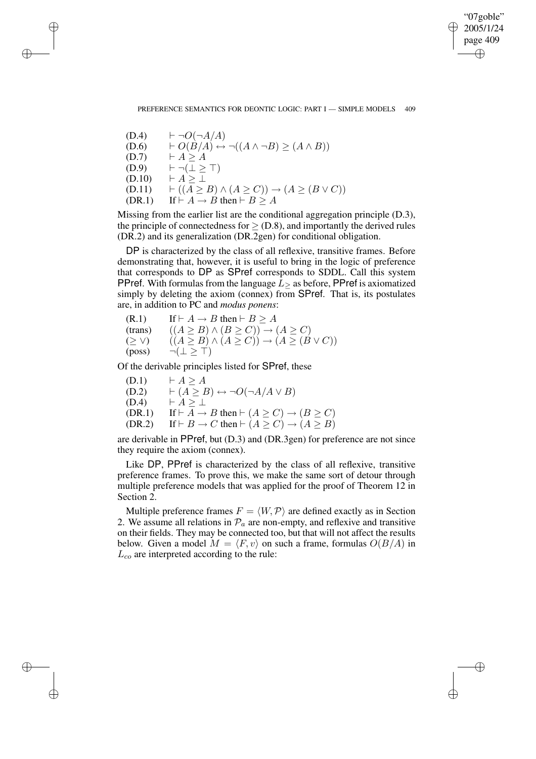✐

 $(D.4)$   $\vdash \neg O(\neg A/A)$ (D.6)  $\vdash O(B/A) \leftrightarrow \neg((A \land \neg B) \geq (A \land B))$  $(D.7) \qquad \vdash A \geq A$  $(D.9)$   $\vdash \neg (\bot \geq \top)$  $(D.10)$   $\vdash A \geq \bot$  $(D.11)$   $\vdash ((A \geq B) \land (A \geq C)) \rightarrow (A \geq (B \lor C))$ (DR.1) If  $\vdash A \rightarrow B$  then  $\vdash B \ge A$ 

 $\rightarrow$ 

 $\rightarrow$ 

✐

✐

Missing from the earlier list are the conditional aggregation principle (D.3), the principle of connectedness for  $\geq$  (D.8), and importantly the derived rules (DR.2) and its generalization (DR.2gen) for conditional obligation.

DP is characterized by the class of all reflexive, transitive frames. Before demonstrating that, however, it is useful to bring in the logic of preference that corresponds to DP as SPref corresponds to SDDL. Call this system PPref. With formulas from the language  $L$  > as before, PPref is axiomatized simply by deleting the axiom (connex) from SPref. That is, its postulates are, in addition to PC and *modus ponens*:

 $(R.1)$  If  $\vdash A \rightarrow B$  then  $\vdash B \geq A$ (trans)  $((A \geq B) \land (B \geq C)) \rightarrow (A \geq C)$ (≥ ∨)  $((A \geq B) \land (A \geq C)) \rightarrow (A \geq (B \lor C))$  $(\text{poss}) \qquad \neg (\perp \geq \top)$ 

Of the derivable principles listed for SPref, these

 $(D.1)$   $\vdash A > A$  $(D.2) \qquad \vdash (\overline{A \geq B}) \leftrightarrow \neg O(\neg A/A \vee B)$  $(D.4)$   $\vdash A \geq \bot$ (DR.1) If  $\vdash A \rightarrow B$  then  $\vdash (A \ge C) \rightarrow (B \ge C)$ (DR.2) If  $\vdash B \to C$  then  $\vdash (A \ge C) \to (A \ge B)$ 

are derivable in PPref, but (D.3) and (DR.3gen) for preference are not since they require the axiom (connex).

Like DP, PPref is characterized by the class of all reflexive, transitive preference frames. To prove this, we make the same sort of detour through multiple preference models that was applied for the proof of Theorem 12 in Section 2.

Multiple preference frames  $F = \langle W, \mathcal{P} \rangle$  are defined exactly as in Section 2. We assume all relations in  $\mathcal{P}_a$  are non-empty, and reflexive and transitive on their fields. They may be connected too, but that will not affect the results below. Given a model  $M = \langle F, v \rangle$  on such a frame, formulas  $O(B/A)$  in  $L_{co}$  are interpreted according to the rule: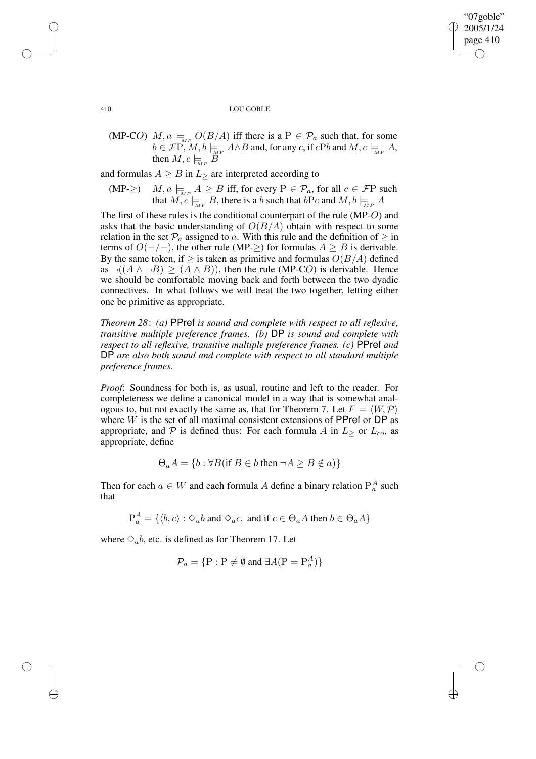✐

410 LOU GOBLE

(MP-CO)  $M, a \models_{\mathbb{R}^P} O(B/A)$  iff there is a  $P \in \mathcal{P}_a$  such that, for some  $b \in \mathcal{F}\mathrm{P}, M, b \models_{\mathcal{M}P} A \wedge B$  and, for any c, if  $c\mathrm{P}b$  and  $M, c \models_{\mathcal{M}P} A$ , then  $M, c \models_{_{MP}} B$ 

and formulas  $A \geq B$  in  $L_{\geq}$  are interpreted according to

(MP- $\geq$ )  $M, a \models_{MP} A \geq B$  iff, for every  $P \in \mathcal{P}_a$ , for all  $c \in \mathcal{F}P$  such that  $M, c \models_{\text{MP}} B$ , there is a b such that  $bPc$  and  $M, b \models_{\text{MP}} A$ 

The first of these rules is the conditional counterpart of the rule (MP-O) and asks that the basic understanding of  $O(B/A)$  obtain with respect to some relation in the set  $\mathcal{P}_a$  assigned to a. With this rule and the definition of  $\geq$  in terms of  $O(-/-)$ , the other rule (MP-≥) for formulas  $A ≥ B$  is derivable. By the same token, if  $\geq$  is taken as primitive and formulas  $O(B/A)$  defined as  $\neg((A \land \neg B) \ge (A \land B))$ , then the rule (MP-CO) is derivable. Hence we should be comfortable moving back and forth between the two dyadic connectives. In what follows we will treat the two together, letting either one be primitive as appropriate.

*Theorem 28*: *(a)* PPref *is sound and complete with respect to all reflexive, transitive multiple preference frames. (b)* DP *is sound and complete with respect to all reflexive, transitive multiple preference frames. (c)* PPref *and* DP *are also both sound and complete with respect to all standard multiple preference frames.*

*Proof*: Soundness for both is, as usual, routine and left to the reader. For completeness we define a canonical model in a way that is somewhat analogous to, but not exactly the same as, that for Theorem 7. Let  $F = \langle W, \mathcal{P} \rangle$ where  $W$  is the set of all maximal consistent extensions of PPref or DP as appropriate, and P is defined thus: For each formula A in  $L >$  or  $L_{co}$ , as appropriate, define

$$
\Theta_a A = \{ b : \forall B (\text{if } B \in b \text{ then } \neg A \ge B \notin a) \}
$$

Then for each  $a \in W$  and each formula A define a binary relation  $P_a^A$  such that

$$
\mathbf{P}^A_a = \{ \langle b, c \rangle : \Diamond_a b \text{ and } \Diamond_a c, \text{ and if } c \in \Theta_a A \text{ then } b \in \Theta_a A \}
$$

where  $\Diamond_a b$ , etc. is defined as for Theorem 17. Let

$$
\mathcal{P}_a = \{ \mathbf{P} : \mathbf{P} \neq \emptyset \text{ and } \exists A(\mathbf{P} = \mathbf{P}_a^A) \}
$$

✐

✐

✐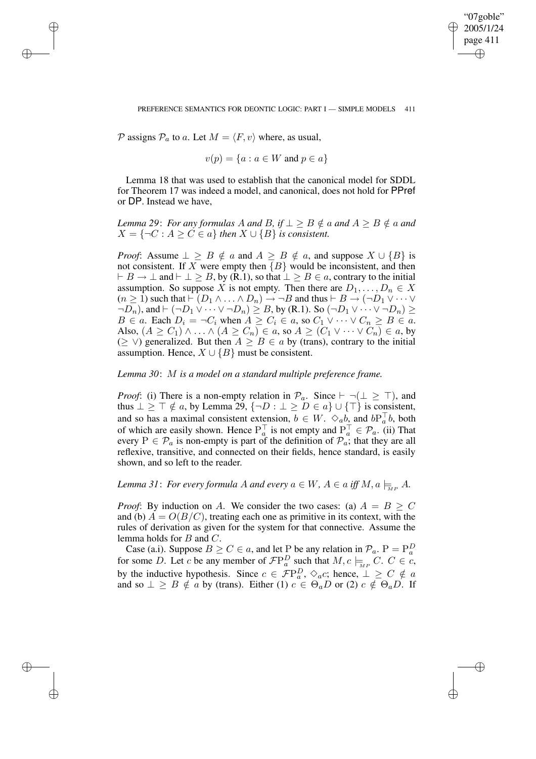✐

### PREFERENCE SEMANTICS FOR DEONTIC LOGIC: PART I — SIMPLE MODELS 411

P assigns  $P_a$  to a. Let  $M = \langle F, v \rangle$  where, as usual,

✐

✐

✐

✐

$$
v(p) = \{a : a \in W \text{ and } p \in a\}
$$

Lemma 18 that was used to establish that the canonical model for SDDL for Theorem 17 was indeed a model, and canonical, does not hold for PPref or DP. Instead we have,

*Lemma* 29: *For any formulas* A *and* B, if  $\perp \geq B \notin a$  *and*  $A \geq B \notin a$  *and*  $X = \{\neg C : A \geq C \in \mathfrak{a}\}\$  then  $X \cup \{B\}$  *is consistent.* 

*Proof*: Assume  $\perp \geq B \notin a$  and  $A \geq B \notin a$ , and suppose  $X \cup \{B\}$  is not consistent. If X were empty then  ${B}$  would be inconsistent, and then  $\vdash B \to \bot$  and  $\vdash \bot \geq B$ , by (R.1), so that  $\bot \geq B \in \alpha$ , contrary to the initial assumption. So suppose X is not empty. Then there are  $D_1, \ldots, D_n \in X$  $(n \ge 1)$  such that  $\vdash (D_1 \land \ldots \land D_n) \rightarrow \neg B$  and thus  $\vdash B \rightarrow (\neg D_1 \lor \cdots \lor$  $\neg D_n$ ), and  $\vdash (\neg D_1 \vee \cdots \vee \neg D_n) \geq B$ , by (R.1). So  $(\neg D_1 \vee \cdots \vee \neg D_n) \geq$  $B \in a$ . Each  $D_i = \neg C_i$  when  $A \ge C_i \in a$ , so  $C_1 \vee \cdots \vee C_n \ge B \in a$ . Also,  $(A \ge C_1) \wedge \ldots \wedge (A \ge C_n) \in a$ , so  $A \ge (C_1 \vee \cdots \vee C_n) \in a$ , by ( $≥$  ∨) generalized. But then  $A ≥ B ∈ a$  by (trans), contrary to the initial assumption. Hence,  $X \cup \{B\}$  must be consistent.

## *Lemma 30*: M *is a model on a standard multiple preference frame.*

*Proof*: (i) There is a non-empty relation in  $\mathcal{P}_a$ . Since  $\vdash \neg (\bot \geq \top)$ , and thus  $\perp \geq \top \notin a$ , by Lemma 29,  $\{\neg D : \perp \geq D \in a\} \cup \{\top\}$  is consistent, and so has a maximal consistent extension,  $b \in W$ .  $\Diamond_a b$ , and  $bP_a^{\top}b$ , both of which are easily shown. Hence  $P_a^{\top}$  is not empty and  $P_a^{\top} \in \mathcal{P}_a$ . (ii) That every  $P \in \mathcal{P}_a$  is non-empty is part of the definition of  $\mathcal{P}_a$ ; that they are all reflexive, transitive, and connected on their fields, hence standard, is easily shown, and so left to the reader.

*Lemma* 31: *For every formula* A *and every*  $a \in W$ *,*  $A \in a$  *iff*  $M$ *,*  $a \models_{\infty} A$ *.* 

*Proof*: By induction on A. We consider the two cases: (a)  $A = B \ge C$ and (b)  $A = O(B/C)$ , treating each one as primitive in its context, with the rules of derivation as given for the system for that connective. Assume the lemma holds for  $B$  and  $C$ .

Case (a.i). Suppose  $B \ge C \in a$ , and let P be any relation in  $\mathcal{P}_a$ .  $P = P_a^D$ for some D. Let c be any member of  $\mathcal{F}P_a^D$  such that  $M, c \models_{\scriptscriptstyle{MP}} C$ .  $C \in c$ , by the inductive hypothesis. Since  $c \in \mathcal{F}P_a^D$ ,  $\diamond_{a}c$ ; hence,  $\bot \geq C \notin a$ and so  $\perp \geq B \notin a$  by (trans). Either (1)  $c \in \Theta_a D$  or (2)  $c \notin \Theta_a D$ . If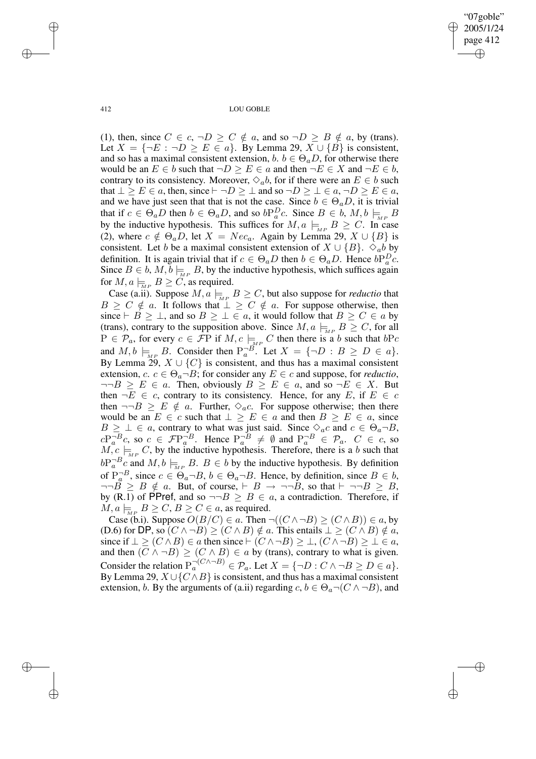"07goble" 2005/1/24 page 412 ✐ ✐

✐

✐

412 LOU GOBLE

(1), then, since  $C \in c$ ,  $\neg D \ge C \notin a$ , and so  $\neg D \ge B \notin a$ , by (trans). Let  $X = \{\neg E : \neg D \ge E \in a\}$ . By Lemma 29,  $X \cup \{B\}$  is consistent, and so has a maximal consistent extension,  $b, b \in \Theta_a D$ , for otherwise there would be an  $E \in b$  such that  $\neg D \geq E \in a$  and then  $\neg E \in X$  and  $\neg E \in b$ , contrary to its consistency. Moreover,  $\Diamond_a b$ , for if there were an  $E \in b$  such that  $\bot \ge E \in a$ , then, since  $\vdash \neg D \ge \bot$  and so  $\neg D \ge \bot \in a$ ,  $\neg D \ge E \in a$ , and we have just seen that that is not the case. Since  $b \in \Theta_a D$ , it is trivial that if  $c \in \Theta_a D$  then  $b \in \Theta_a D$ , and so  $bP_a^D c$ . Since  $B \in b$ ,  $M, b \models_{M^P} B$ by the inductive hypothesis. This suffices for  $M, a \models_{MP} B \ge C$ . In case (2), where  $c \notin \Theta_a D$ , let  $X = Nec_a$ . Again by Lemma 29,  $X \cup \{B\}$  is consistent. Let b be a maximal consistent extension of  $X \cup \{B\}$ .  $\diamond_{ab}$  by definition. It is again trivial that if  $c \in \Theta_a D$  then  $b \in \Theta_a D$ . Hence  $bP_a^D c$ . Since  $B \in b$ ,  $M, \tilde{b} \models_{MP} B$ , by the inductive hypothesis, which suffices again for  $M, a \models_{\overline{M}P} B \geq C$ , as required.

Case (a.ii). Suppose  $M, a \models_{\mathbb{R}^P} B \geq C$ , but also suppose for *reductio* that  $B \geq C \notin a$ . It follows that  $\perp \geq C \notin a$ . For suppose otherwise, then since  $\vdash B \geq \bot$ , and so  $B \geq \bot \in a$ , it would follow that  $B \geq C \in a$  by (trans), contrary to the supposition above. Since  $M$ ,  $a \models_{\text{MP}} B \geq C$ , for all  $P \in \mathcal{P}_a$ , for every  $c \in \mathcal{F}P$  if  $M, c \models_{\tiny{MP}} C$  then there is a b such that  $bPc$ and  $M, b \models_{\text{MP}} B$ . Consider then  $P_a^{-B}$ . Let  $X = \{\neg D : B \ge D \in a\}.$ By Lemma 29,  $X \cup \{C\}$  is consistent, and thus has a maximal consistent extension,  $c$ .  $c \in \Theta_a \neg B$ ; for consider any  $E \in c$  and suppose, for *reductio*,  $\neg\neg B \geq E \in a$ . Then, obviously  $B \geq E \in a$ , and so  $\neg E \in X$ . But then  $\neg E \in c$ , contrary to its consistency. Hence, for any E, if  $E \in c$ then  $\neg\neg B \geq E \notin a$ . Further,  $\Diamond_a c$ . For suppose otherwise; then there would be an  $E \in c$  such that  $\perp \geq E \in a$  and then  $B \geq E \in a$ , since  $B \geq \perp \in a$ , contrary to what was just said. Since  $\diamond_{a}c$  and  $c \in \Theta_{a} \neg B$ ,  $cP_a^{-B}c$ , so  $c \in \mathcal{F}P_a^{-B}$ . Hence  $P_a^{-B} \neq \emptyset$  and  $P_a^{-B} \in \mathcal{P}_a$ .  $C \in c$ , so  $M, c \models_{\text{MP}} C$ , by the inductive hypothesis. Therefore, there is a b such that  $bP_a^{-B}c$  and  $M, b \models_{MP} B$ .  $B \in b$  by the inductive hypothesis. By definition of  $P_a^{-B}$ , since  $c \in \Theta_a \neg B$ ,  $b \in \Theta_a \neg B$ . Hence, by definition, since  $B \in b$ ,  $\neg\neg B \geq B \notin a$ . But, of course,  $\vdash B \rightarrow \neg\neg B$ , so that  $\vdash \neg\neg B \geq B$ , by (R.1) of PPref, and so  $\neg\neg B \geq B \in \alpha$ , a contradiction. Therefore, if  $M, a \models_B B \geq C, B \geq C \in a$ , as required.

Case (b.i). Suppose  $O(B/C) \in a$ . Then  $\neg((C \land \neg B) \ge (C \land B)) \in a$ , by (D.6) for DP, so  $(C \wedge \neg B) \ge (C \wedge B) \notin a$ . This entails  $\bot \ge (C \wedge B) \notin a$ , since if  $\bot \ge (C \land B) \in a$  then since  $\vdash (C \land \neg B) \ge \bot, (C \land \neg B) \ge \bot \in a$ , and then  $(C \wedge \neg B) \ge (C \wedge B) \in a$  by (trans), contrary to what is given. Consider the relation  $P_a^{- (C \wedge \neg B)} \in \mathcal{P}_a$ . Let  $X = \{\neg D : C \wedge \neg B \ge D \in a\}$ . By Lemma 29,  $X \cup \{C \wedge B\}$  is consistent, and thus has a maximal consistent extension, b. By the arguments of (a.ii) regarding  $c, b \in \Theta_a \neg (C \land \neg B)$ , and

✐

✐

✐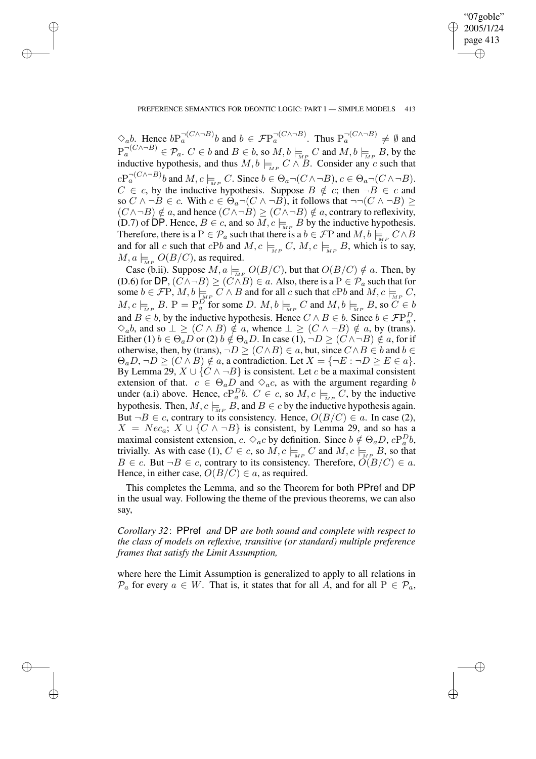✐

## PREFERENCE SEMANTICS FOR DEONTIC LOGIC: PART I — SIMPLE MODELS 413

✐

✐

✐

✐

 $\Diamond_a b$ . Hence  $bP_a^{- (C \wedge \neg B)} b$  and  $b \in \mathcal{F}P_a^{- (C \wedge \neg B)}$ . Thus  $P_a^{- (C \wedge \neg B)} \neq \emptyset$  and  $P_a^{- (C \wedge \neg B)} \in \mathcal{P}_a$ .  $C \in b$  and  $B \in b$ , so  $M, b \models_{\overline{M}P} C$  and  $M, b \models_{\overline{M}P} B$ , by the inductive hypothesis, and thus  $M, b \models_{MP} C \wedge B$ . Consider any c such that  $cP_a^{- (C \wedge \neg B)} b$  and  $M, c \models_{\mathit{MP}} C$ . Since  $b \in \Theta_a \neg (C \wedge \neg B), c \in \Theta_a \neg (C \wedge \neg B)$ .  $C \in c$ , by the inductive hypothesis. Suppose  $B \notin c$ ; then  $\neg B \in c$  and so  $C \wedge \neg B \in c$ . With  $c \in \Theta_a \neg (C \wedge \neg B)$ , it follows that  $\neg \neg (C \wedge \neg B) \ge$  $(C \wedge \neg B) \notin a$ , and hence  $(C \wedge \neg B) \ge (C \wedge \neg B) \notin a$ , contrary to reflexivity, (D.7) of DP. Hence,  $B \in c$ , and so  $\overline{M}$ ,  $c \models_{\overline{M}P} B$  by the inductive hypothesis. Therefore, there is a P  $\in \mathcal{P}_a$  such that there is a  $b \in \mathcal{F}P$  and  $M, b \vDash_{\mathcal{M}P} C \wedge B$ and for all c such that cPb and  $M$ ,  $c \models_{MP} C$ ,  $M$ ,  $c \models_{MP} B$ , which is to say,  $M, a \models_{\text{MP}} O(B/C)$ , as required.

Case (b.ii). Suppose  $M, a \models_{M^P} O(B/C)$ , but that  $O(B/C) \notin a$ . Then, by (D.6) for DP,  $(C \land \neg B) \ge (C \land B) \in a$ . Also, there is a  $P \in \mathcal{P}_a$  such that for some  $b \in \mathcal{F}(\mathbf{P}, M, b \models_{\mathbf{M}(\mathbf{P})} \overrightarrow{C} \wedge B$  and for all c such that  $c\mathbf{P}b$  and  $M, c \models_{\mathbf{M}(\mathbf{P})} C$ ,  $M, c \models_{\overline{M}P} B$ .  $P = P_a^D$  for some D.  $M, b \models_{\overline{M}P} C$  and  $M, b \models_{\overline{M}P} B$ , so  $C \in b$ and  $B \in b$ , by the inductive hypothesis. Hence  $C \wedge B \in b$ . Since  $b \in \mathcal{F}P_a^D$ ,  $\Diamond_a b$ , and so  $\bot \ge (C \land B) \notin a$ , whence  $\bot \ge (C \land \neg B) \notin a$ , by (trans). Either (1)  $b \in \Theta_a D$  or (2)  $b \notin \Theta_a D$ . In case (1),  $\neg D \ge (C \land \neg B) \notin a$ , for if otherwise, then, by (trans),  $\neg D \ge (C \wedge B) \in a$ , but, since  $C \wedge B \in b$  and  $b \in$  $\Theta_a D$ ,  $\neg D \ge (C \wedge B) \notin a$ , a contradiction. Let  $X = \{\neg E : \neg D \ge E \in a\}.$ By Lemma 29,  $X \cup \{C \land \neg B\}$  is consistent. Let c be a maximal consistent extension of that.  $c \in \Theta_a D$  and  $\Diamond_a c$ , as with the argument regarding b under (a.i) above. Hence,  $cP_a^Db$ .  $C \in c$ , so  $M, c \models_{\mathcal{M}^P} C$ , by the inductive hypothesis. Then,  $M, c \models_{\overline{M}P} \overrightarrow{B}$ , and  $B \in c$  by the inductive hypothesis again. But  $\neg B \in c$ , contrary to its consistency. Hence,  $O(B/C) \in a$ . In case (2),  $X = Nec_a$ ;  $X \cup \{C \land \neg B\}$  is consistent, by Lemma 29, and so has a maximal consistent extension, c.  $\Diamond_a c$  by definition. Since  $b \notin \Theta_a D$ ,  $cP_a^D b$ , trivially. As with case (1),  $C \in c$ , so  $\tilde{M}, c \models_{\text{MP}} C$  and  $M, c \models_{\text{MP}} B$ , so that  $B \in c$ . But  $\neg B \in c$ , contrary to its consistency. Therefore,  $\tilde{O}(B/C) \in a$ . Hence, in either case,  $O(B/C) \in a$ , as required.

This completes the Lemma, and so the Theorem for both PPref and DP in the usual way. Following the theme of the previous theorems, we can also say,

*Corollary 32*: PPref *and* DP *are both sound and complete with respect to the class of models on reflexive, transitive (or standard) multiple preference frames that satisfy the Limit Assumption,*

where here the Limit Assumption is generalized to apply to all relations in  $\mathcal{P}_a$  for every  $a \in W$ . That is, it states that for all  $A$ , and for all  $P \in \mathcal{P}_a$ ,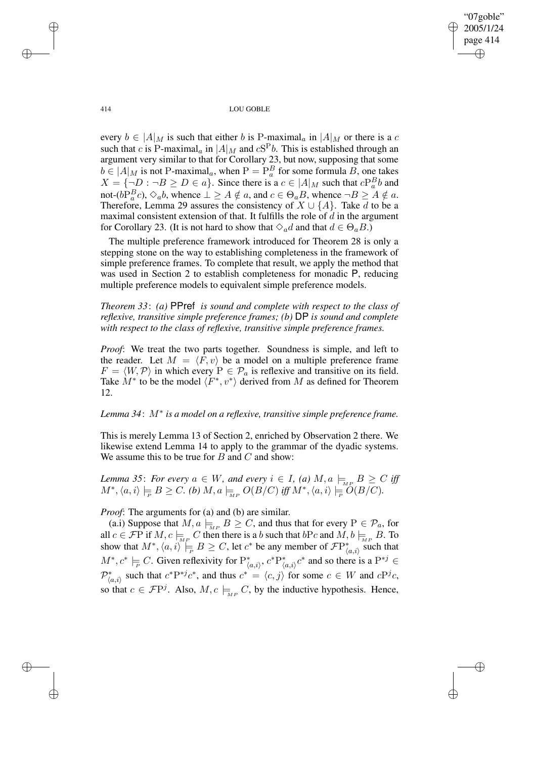"07goble" 2005/1/24 page 414 ✐ ✐

✐

✐

414 LOU GOBLE

every  $b \in |A|_M$  is such that either b is P-maximal<sub>a</sub> in  $|A|_M$  or there is a c such that c is P-maximal<sub>a</sub> in  $|A|_M$  and  $cS^Pb$ . This is established through an argument very similar to that for Corollary 23, but now, supposing that some  $b \in |A|_M$  is not P-maximal<sub>a</sub>, when  $P = P_a^B$  for some formula B, one takes  $X = \{\neg D : \neg B \ge D \in a\}.$  Since there is a  $c \in |A|_M$  such that  $cP_a^Bb$  and not- $(b\tilde{P}_a^Bc)$ ,  $\diamond_a b$ , whence  $\perp \ge A \notin a$ , and  $c \in \Theta_a B$ , whence  $\neg B \ge A \notin a$ . Therefore, Lemma 29 assures the consistency of  $X \cup \{A\}$ . Take d to be a maximal consistent extension of that. It fulfills the role of  $d$  in the argument for Corollary 23. (It is not hard to show that  $\Diamond_a d$  and that  $d \in \Theta_a B$ .)

The multiple preference framework introduced for Theorem 28 is only a stepping stone on the way to establishing completeness in the framework of simple preference frames. To complete that result, we apply the method that was used in Section 2 to establish completeness for monadic P, reducing multiple preference models to equivalent simple preference models.

*Theorem 33*: *(a)* PPref *is sound and complete with respect to the class of reflexive, transitive simple preference frames; (b)* DP *is sound and complete with respect to the class of reflexive, transitive simple preference frames.*

*Proof*: We treat the two parts together. Soundness is simple, and left to the reader. Let  $M = \langle F, v \rangle$  be a model on a multiple preference frame  $F = \langle W, \mathcal{P} \rangle$  in which every  $P \in \mathcal{P}_a$  is reflexive and transitive on its field. Take  $M^*$  to be the model  $\langle F^*, v^* \rangle$  derived from M as defined for Theorem 12.

# *Lemma 34*: M<sup>∗</sup> *is a model on a reflexive, transitive simple preference frame.*

This is merely Lemma 13 of Section 2, enriched by Observation 2 there. We likewise extend Lemma 14 to apply to the grammar of the dyadic systems. We assume this to be true for  $B$  and  $C$  and show:

*Lemma* 35: For every  $a \in W$ , and every  $i \in I$ , (a)  $M$ ,  $a \models_{\text{MP}} B \ge C$  iff  $M^*,\langle a,i\rangle \models_B B \geq C.$  (b)  $M,a \models_{\overline{MP}} O(B/C)$  *iff*  $M^*,\langle a,i\rangle \models_{\overline{P}} O(B/C)$ .

*Proof*: The arguments for (a) and (b) are similar.

(a.i) Suppose that  $M, a \models_{\mathbb{M}P} B \geq C$ , and thus that for every  $P \in \mathcal{P}_a$ , for all  $c \in \mathcal{F}P$  if  $M, c \models_{\overline{M}P} C$  then there is a b such that  $bPc$  and  $M, b \models_{\overline{M}P} B$ . To show that  $M^*,\langle a,i\rangle\models B\geq C$ , let  $c^*$  be any member of  $\mathcal{F}\mathrm{P}^*_{\langle a,i\rangle}$  such that  $M^*, c^* \models C$ . Given reflexivity for  $P^*_{\langle a,i \rangle}, c^* P^*_{\langle a,i \rangle} c^*$  and so there is a  $P^{*j} \in$  $\mathcal{P}_{\langle a,i\rangle}^*$  such that  $c^*P^{*j}c^*$ , and thus  $c^* = \langle c,j\rangle$  for some  $c \in W$  and  $cP^j c$ , so that  $c \in \mathcal{F}P^j$ . Also,  $M, c \models_{MP} C$ , by the inductive hypothesis. Hence,

✐

✐

✐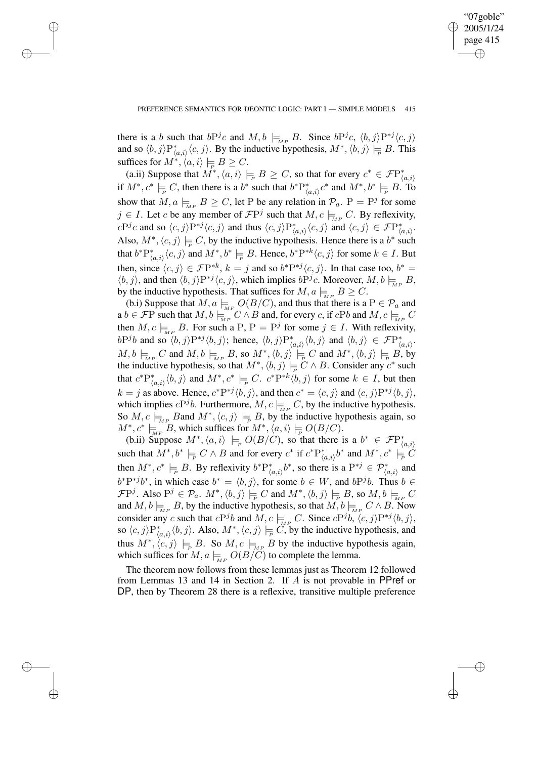✐

there is a b such that  $bP^j c$  and  $M, b \models_{MP} B$ . Since  $bP^j c, \langle b, j \rangle P^{*j} \langle c, j \rangle$ and so  $\langle b, j \rangle P^*_{\langle a, i \rangle} \langle c, j \rangle$ . By the inductive hypothesis,  $M^*, \langle b, j \rangle \models B$ . This suffices for  $M^*,\langle a,i\rangle\models B\geq C.$ 

✐

✐

✐

✐

(a.ii) Suppose that  $M^*,\langle a,i\rangle\models B\geq C$ , so that for every  $c^*\in \mathcal{F}\mathrm{P}^*_{\langle a,i\rangle}$ if  $M^*, c^* \models C$ , then there is a  $b^*$  such that  $b^* P^*_{\langle a, i \rangle} c^*$  and  $M^*, b^* \models B$ . To show that  $M, a \models_{\text{MP}} B \geq C$ , let P be any relation in  $\mathcal{P}_a$ .  $P = P^j$  for some  $j \in I$ . Let c be any member of  $\mathcal{F}P^j$  such that  $M, c \models_{\mathcal{M}P} C$ . By reflexivity,  $cP^j c$  and so  $\langle c, j \rangle P^{*j} \langle c, j \rangle$  and thus  $\langle c, j \rangle P^*_{\langle a,i \rangle} \langle c, j \rangle$  and  $\langle c, j \rangle \in \mathcal{F}P^*_{\langle a,i \rangle}$ . Also,  $M^*, \langle c, j \rangle \models C$ , by the inductive hypothesis. Hence there is a  $b^*$  such that  $b^*P_{\langle a,i\rangle}^*\langle c,j\rangle$  and  $M^*,b^*\models B$ . Hence,  $b^*P^{*k}\langle c,j\rangle$  for some  $k\in I$ . But then, since  $\langle c, j \rangle \in \mathcal{F}P^{*k}$ ,  $k = j$  and so  $b^*P^{*j}\langle c, j \rangle$ . In that case too,  $b^* =$  $\langle b, j \rangle$ , and then  $\langle b, j \rangle P^{*j} \langle c, j \rangle$ , which implies  $bP^j c$ . Moreover,  $M, b \models_{\text{MPR}} B$ , by the inductive hypothesis. That suffices for  $M, a \models_B B \geq C$ .

(b.i) Suppose that  $M, a \models_{\overline{MP}} O(B/C)$ , and thus that there is a  $P \in \mathcal{P}_a$  and a  $b \in \mathcal{F}P$  such that  $M, b \models_{\overline{M}P}^{\overline{M}P} C \wedge B$  and, for every c, if  $cPb$  and  $M, c \models_{\overline{M}P}^{\overline{M}P} C$ then  $M, c \models_{\text{MP}} B$ . For such a P,  $P = P^j$  for some  $j \in I$ . With reflexivity,  $bP^j b$  and so  $\langle b, j \rangle P^{*j} \langle b, j \rangle$ ; hence,  $\langle b, j \rangle P^*_{\langle a, i \rangle} \langle b, j \rangle$  and  $\langle b, j \rangle \in \mathcal{F}P^*_{\langle a, i \rangle}$ .  $M, b \models_{\text{MP}} C$  and  $M, b \models_{\text{MP}} B$ , so  $M^*, \langle b, j \rangle \models_{\text{P}} C$  and  $M^*, \langle b, j \rangle \models_{\text{P}} B$ , by the inductive hypothesis, so that  $M^*, \langle b, j \rangle \models_C C \land B$ . Consider any  $c^*$  such that  $c^*P^*_{\langle a,i\rangle}\langle b,j\rangle$  and  $M^*, c^* \models_C C$ .  $c^*P^{*k}\langle b,j\rangle$  for some  $k \in I$ , but then  $k = j$  as above. Hence,  $c^* P^{*j} \langle b, j \rangle$ , and then  $c^* = \langle c, j \rangle$  and  $\langle c, j \rangle P^{*j} \langle b, j \rangle$ , which implies  $cP^j b$ . Furthermore,  $M, c \models_{\text{MP}} C$ , by the inductive hypothesis. So  $M, c \models_{\text{MP}} B$ and  $M^*, \langle c, j \rangle \models_{\text{P}} B$ , by the inductive hypothesis again, so  $M^*, c^* \models_{\overline{MP}}^{\overline{MP}} B$ , which suffices for  $M^*, \langle a, i \rangle \models_{\overline{P}} O(B/C)$ .

(b.ii) Suppose  $M^*, \langle a, i \rangle \models_P O(B/C)$ , so that there is a  $b^* \in \mathcal{F}P^*_{\langle a, i \rangle}$ such that  $M^*, b^* \models_C C \land B$  and for every  $c^*$  if  $c^*P^*_{\langle a,i\rangle}b^*$  and  $M^*, c^* \models_C C$ then  $M^*, c^* \models B$ . By reflexivity  $b^*P^*_{\langle a,i \rangle}b^*$ , so there is a  $P^{*j} \in \mathcal{P}^*_{\langle a,i \rangle}$  and  $b^*P^{*j}b^*$ , in which case  $b^* = \langle b, j \rangle$ , for some  $b \in W$ , and  $bP^{j}b$ . Thus  $b \in W$  $\mathcal{F}P^j$ . Also  $P^j \in \mathcal{P}_a$ .  $M^*,\langle b,j \rangle \models_{\mathcal{P}} C$  and  $M^*,\langle b,j \rangle \models_{\mathcal{P}} B$ , so  $M,b \models_{\overline{M}P} C$ and  $M, b \models_{\overline{M}P} B$ , by the inductive hypothesis, so that  $\overline{M}, b \models_{\overline{M}P} C \wedge B$ . Now consider any c such that  $cP^j b$  and  $M, c \models_{\text{MP}} C$ . Since  $cP^j b, \langle c, j \rangle P^{*j} \langle b, j \rangle$ , so  $\langle c, j \rangle P^*_{\langle a, i \rangle} \langle b, j \rangle$ . Also,  $M^*, \langle c, j \rangle \models_{\overline{P}} \overline{C}$ , by the inductive hypothesis, and thus  $M^*, \langle c, j \rangle \models_{\mathcal{F}} B$ . So  $M, c \models_{\mathcal{M}^P} B$  by the inductive hypothesis again, which suffices for  $M, a \models_{M^p} O(B/\tilde{C})$  to complete the lemma.

The theorem now follows from these lemmas just as Theorem 12 followed from Lemmas 13 and 14 in Section 2. If A is not provable in PPref or DP, then by Theorem 28 there is a reflexive, transitive multiple preference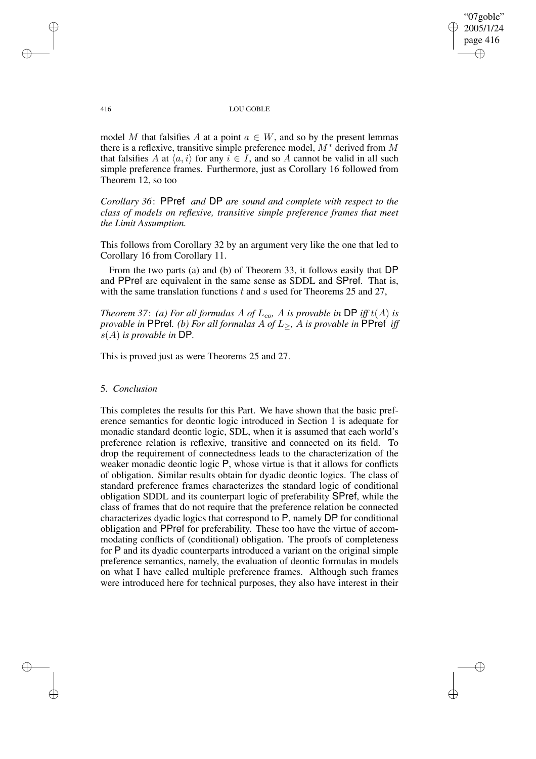✐

## 416 LOU GOBLE

model M that falsifies A at a point  $a \in W$ , and so by the present lemmas there is a reflexive, transitive simple preference model,  $M^*$  derived from M that falsifies A at  $\langle a,i \rangle$  for any  $i \in I$ , and so A cannot be valid in all such simple preference frames. Furthermore, just as Corollary 16 followed from Theorem 12, so too

*Corollary 36*: PPref *and* DP *are sound and complete with respect to the class of models on reflexive, transitive simple preference frames that meet the Limit Assumption.*

This follows from Corollary 32 by an argument very like the one that led to Corollary 16 from Corollary 11.

From the two parts (a) and (b) of Theorem 33, it follows easily that DP and PPref are equivalent in the same sense as SDDL and SPref. That is, with the same translation functions  $t$  and  $s$  used for Theorems 25 and 27,

*Theorem* 37: *(a) For all formulas* A *of*  $L_{co}$ , A *is provable in* DP *iff*  $t(A)$  *is provable in* PPref*. (b) For all formulas* A *of* L≥*,* A *is provable in* PPref *iff* s(A) *is provable in* DP*.*

This is proved just as were Theorems 25 and 27.

## 5. *Conclusion*

This completes the results for this Part. We have shown that the basic preference semantics for deontic logic introduced in Section 1 is adequate for monadic standard deontic logic, SDL, when it is assumed that each world's preference relation is reflexive, transitive and connected on its field. To drop the requirement of connectedness leads to the characterization of the weaker monadic deontic logic P, whose virtue is that it allows for conflicts of obligation. Similar results obtain for dyadic deontic logics. The class of standard preference frames characterizes the standard logic of conditional obligation SDDL and its counterpart logic of preferability SPref, while the class of frames that do not require that the preference relation be connected characterizes dyadic logics that correspond to P, namely DP for conditional obligation and PPref for preferability. These too have the virtue of accommodating conflicts of (conditional) obligation. The proofs of completeness for P and its dyadic counterparts introduced a variant on the original simple preference semantics, namely, the evaluation of deontic formulas in models on what I have called multiple preference frames. Although such frames were introduced here for technical purposes, they also have interest in their

✐

✐

✐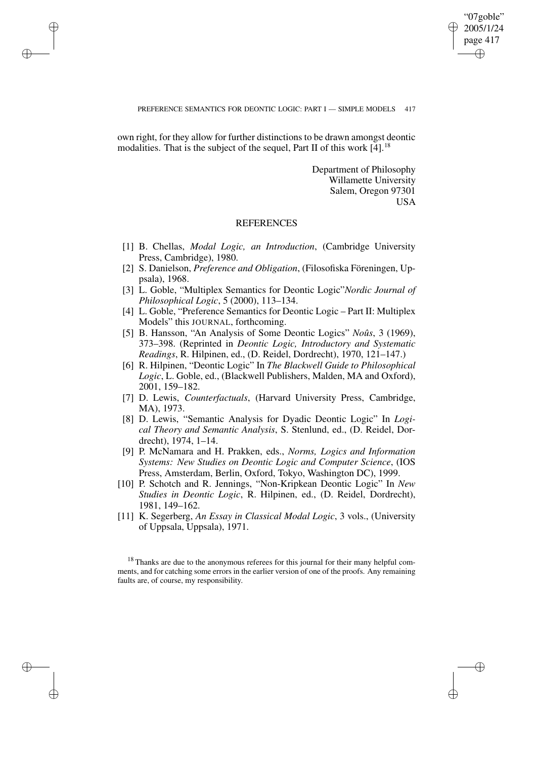✐

## PREFERENCE SEMANTICS FOR DEONTIC LOGIC: PART I — SIMPLE MODELS 417

own right, for they allow for further distinctions to be drawn amongst deontic modalities. That is the subject of the sequel, Part II of this work  $[4]$ <sup>18</sup>

✐

✐

✐

✐

Department of Philosophy Willamette University Salem, Oregon 97301 USA

## **REFERENCES**

- [1] B. Chellas, *Modal Logic, an Introduction*, (Cambridge University Press, Cambridge), 1980.
- [2] S. Danielson, *Preference and Obligation*, (Filosofiska Föreningen, Uppsala), 1968.
- [3] L. Goble, "Multiplex Semantics for Deontic Logic"*Nordic Journal of Philosophical Logic*, 5 (2000), 113–134.
- [4] L. Goble, "Preference Semantics for Deontic Logic Part II: Multiplex Models" this JOURNAL, forthcoming.
- [5] B. Hansson, "An Analysis of Some Deontic Logics" *Noûs*, 3 (1969), 373–398. (Reprinted in *Deontic Logic, Introductory and Systematic Readings*, R. Hilpinen, ed., (D. Reidel, Dordrecht), 1970, 121–147.)
- [6] R. Hilpinen, "Deontic Logic" In *The Blackwell Guide to Philosophical Logic*, L. Goble, ed., (Blackwell Publishers, Malden, MA and Oxford), 2001, 159–182.
- [7] D. Lewis, *Counterfactuals*, (Harvard University Press, Cambridge, MA), 1973.
- [8] D. Lewis, "Semantic Analysis for Dyadic Deontic Logic" In *Logical Theory and Semantic Analysis*, S. Stenlund, ed., (D. Reidel, Dordrecht), 1974, 1–14.
- [9] P. McNamara and H. Prakken, eds., *Norms, Logics and Information Systems: New Studies on Deontic Logic and Computer Science*, (IOS Press, Amsterdam, Berlin, Oxford, Tokyo, Washington DC), 1999.
- [10] P. Schotch and R. Jennings, "Non-Kripkean Deontic Logic" In *New Studies in Deontic Logic*, R. Hilpinen, ed., (D. Reidel, Dordrecht), 1981, 149–162.
- [11] K. Segerberg, *An Essay in Classical Modal Logic*, 3 vols., (University of Uppsala, Uppsala), 1971.

 $18$  Thanks are due to the anonymous referees for this journal for their many helpful comments, and for catching some errors in the earlier version of one of the proofs. Any remaining faults are, of course, my responsibility.